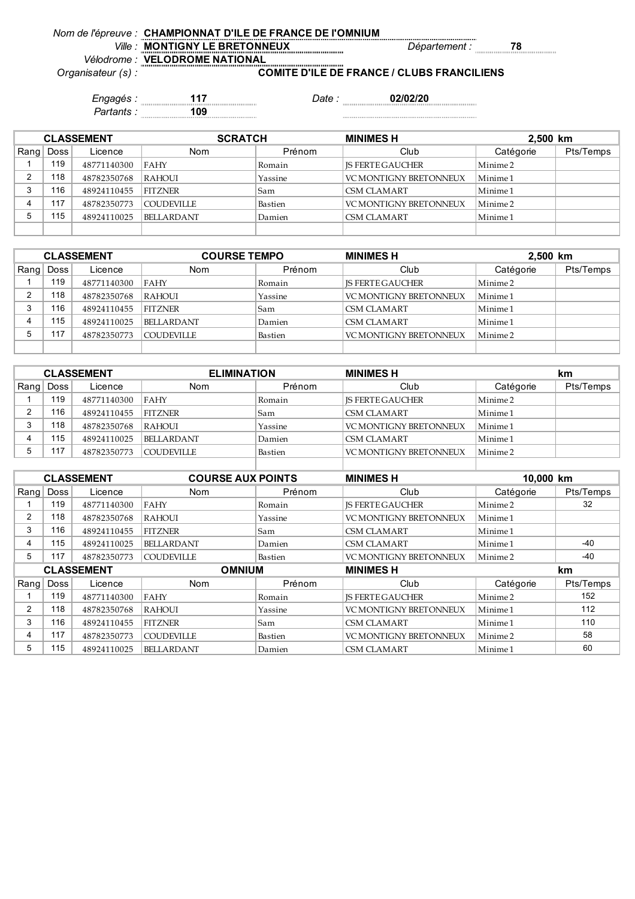| Nom de l'épreuve : CHAMPIONNAT D'ILE DE FRANCE DE l'OMNIUM |
|------------------------------------------------------------|
|                                                            |

*Ville : Département :* **78 MONTIGNY LE BRETONNEUX**

*Vélodrome : Organisateur (s) :*

**VELODROME NATIONAL COMITE D'ILE DE FRANCE / CLUBS FRANCILIENS**

*Engagés :* **117** *Date :* **02/02/20** *Partants :* **109**

| <b>CLASSEMENT</b> |             |             | <b>SCRATCH</b>    |         | <b>MINIMES H</b><br>2,500 km |           |           |
|-------------------|-------------|-------------|-------------------|---------|------------------------------|-----------|-----------|
| Rang              | <b>Doss</b> | Licence     | <b>Nom</b>        | Prénom  | Club                         | Catégorie | Pts/Temps |
|                   | 119         | 48771140300 | FAHY              | Romain  | <b>IS FERTE GAUCHER</b>      | Minime 2  |           |
|                   | 118         | 48782350768 | <b>RAHOUI</b>     | Yassine | VC MONTIGNY BRETONNEUX       | Minime 1  |           |
|                   | 16          | 48924110455 | <b>FITZNER</b>    | Sam     | <b>CSM CLAMART</b>           | Minime 1  |           |
|                   | 117         | 48782350773 | <b>COUDEVILLE</b> | Bastien | VC MONTIGNY BRETONNEUX       | Minime 2  |           |
|                   | 115         | 48924110025 | <b>BELLARDANT</b> | Damien  | <b>CSM CLAMART</b>           | Minime 1  |           |
|                   |             |             |                   |         |                              |           |           |

| <b>CLASSEMENT</b> |      |             | <b>COURSE TEMPO</b> |         | <b>MINIMES H</b>        | 2,500 km            |           |
|-------------------|------|-------------|---------------------|---------|-------------------------|---------------------|-----------|
| Ranq              | Doss | Licence     | <b>Nom</b>          | Prénom  | Club                    | Catégorie           | Pts/Temps |
|                   | 119  | 48771140300 | <b>FAHY</b>         | Romain  | <b>IS FERTE GAUCHER</b> | Minime 2            |           |
|                   | 118  | 48782350768 | <b>RAHOUI</b>       | Yassine | VC MONTIGNY BRETONNEUX  | Minime <sub>1</sub> |           |
| ົ                 | 116  | 48924110455 | <b>FITZNER</b>      | Sam     | <b>CSM CLAMART</b>      | Minime 1            |           |
|                   | 115  | 48924110025 | <b>BELLARDANT</b>   | Damien  | <b>CSM CLAMART</b>      | Minime 1            |           |
|                   | 117  | 48782350773 | <b>COUDEVILLE</b>   | Bastien | VC MONTIGNY BRETONNEUX  | Minime 2            |           |
|                   |      |             |                     |         |                         |                     |           |

| <b>CLASSEMENT</b> |             | <b>ELIMINATION</b> |         | <b>MINIMES H</b>        |                     | km        |
|-------------------|-------------|--------------------|---------|-------------------------|---------------------|-----------|
| Rang   Doss       | Licence     | <b>Nom</b>         | Prénom  | Club                    | Catégorie           | Pts/Temps |
| 119               | 48771140300 | FAHY               | Romain  | <b>IS FERTE GAUCHER</b> | Minime 2            |           |
| 116               | 48924110455 | <b>FITZNER</b>     | Sam     | CSM CLAMART             | Minime 1            |           |
| 118               | 48782350768 | RAHOUL             | Yassine | VC MONTIGNY BRETONNEUX  | Minime <sub>1</sub> |           |
| 115               | 48924110025 | <b>BELLARDANT</b>  | Damien  | CSM CLAMART             | Minime 1            |           |
| 117               | 48782350773 | <b>COUDEVILLE</b>  | Bastien | VC MONTIGNY BRETONNEUX  | Minime 2            |           |

|                   |             | <b>CLASSEMENT</b> | <b>COURSE AUX POINTS</b> |         | <b>MINIMES H</b>              | 10,000 km           |           |  |
|-------------------|-------------|-------------------|--------------------------|---------|-------------------------------|---------------------|-----------|--|
| Rang              | <b>Doss</b> | Licence           | <b>Nom</b>               | Prénom  | Club                          | Catégorie           | Pts/Temps |  |
|                   | 119         | 48771140300       | <b>FAHY</b>              | Romain  | <b>IS FERTE GAUCHER</b>       | Minime <sub>2</sub> | 32        |  |
| $\overline{2}$    | 118         | 48782350768       | <b>RAHOUI</b>            | Yassine | <b>VC MONTIGNY BRETONNEUX</b> | Minime 1            |           |  |
| 3                 | 116         | 48924110455       | <b>FITZNER</b>           | Sam     | <b>CSM CLAMART</b>            | Minime 1            |           |  |
| 4                 | 115         | 48924110025       | <b>BELLARDANT</b>        | Damien  | <b>CSM CLAMART</b>            | Minime 1            | $-40$     |  |
| 5                 | 117         | 48782350773       | <b>COUDEVILLE</b>        | Bastien | <b>VC MONTIGNY BRETONNEUX</b> | Minime <sub>2</sub> | -40       |  |
| <b>CLASSEMENT</b> |             |                   | <b>OMNIUM</b>            |         |                               |                     | km        |  |
|                   |             |                   |                          |         | <b>MINIMES H</b>              |                     |           |  |
| Ranq              | Doss        | Licence           | <b>Nom</b>               | Prénom  | Club                          | Catégorie           | Pts/Temps |  |
|                   | 119         | 48771140300       | <b>FAHY</b>              | Romain  | <b>IS FERTE GAUCHER</b>       | Minime 2            | 152       |  |
| $\overline{2}$    | 118         | 48782350768       | <b>RAHOUI</b>            | Yassine | <b>VC MONTIGNY BRETONNEUX</b> | Minime 1            | 112       |  |
| 3                 | 116         | 48924110455       | <b>FITZNER</b>           | Sam     | <b>CSM CLAMART</b>            | Minime 1            | 110       |  |
| 4                 | 117         | 48782350773       | <b>COUDEVILLE</b>        | Bastien | <b>VC MONTIGNY BRETONNEUX</b> | Minime <sub>2</sub> | 58        |  |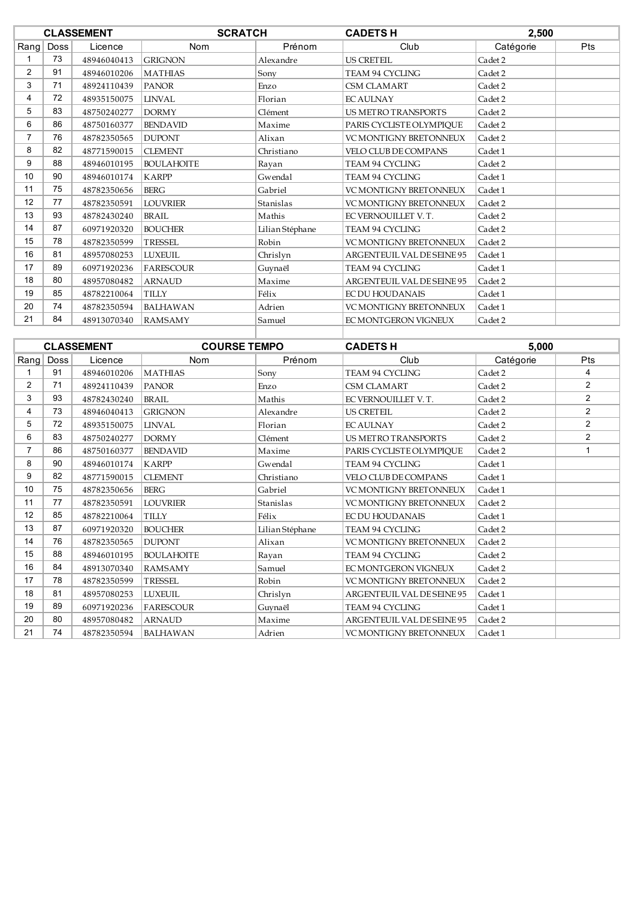|                 |      | <b>CLASSEMENT</b> | <b>SCRATCH</b>    |                 | <b>CADETS H</b>               | 2,500     |            |
|-----------------|------|-------------------|-------------------|-----------------|-------------------------------|-----------|------------|
| Rang            | Doss | Licence           | Nom               | Prénom          | Club                          | Catégorie | <b>Pts</b> |
|                 | 73   | 48946040413       | <b>GRIGNON</b>    | Alexandre       | <b>US CRETEIL</b>             | Cadet 2   |            |
| $\overline{2}$  | 91   | 48946010206       | <b>MATHIAS</b>    | Sony            | <b>TEAM 94 CYCLING</b>        | Cadet 2   |            |
| 3               | 71   | 48924110439       | <b>PANOR</b>      | Enzo            | <b>CSM CLAMART</b>            | Cadet 2   |            |
| 4               | 72   | 48935150075       | <b>LINVAL</b>     | Florian         | <b>EC AULNAY</b>              | Cadet 2   |            |
| 5               | 83   | 48750240277       | <b>DORMY</b>      | Clément         | <b>US METRO TRANSPORTS</b>    | Cadet 2   |            |
| 6               | 86   | 48750160377       | <b>BENDAVID</b>   | Maxime          | PARIS CYCLISTE OLYMPIQUE      | Cadet 2   |            |
| $\overline{7}$  | 76   | 48782350565       | <b>DUPONT</b>     | Alixan          | <b>VC MONTIGNY BRETONNEUX</b> | Cadet 2   |            |
| 8               | 82   | 48771590015       | <b>CLEMENT</b>    | Christiano      | <b>VELO CLUB DE COMPANS</b>   | Cadet 1   |            |
| 9               | 88   | 48946010195       | <b>BOULAHOITE</b> | Rayan           | TEAM 94 CYCLING               | Cadet 2   |            |
| 10 <sup>1</sup> | 90   | 48946010174       | <b>KARPP</b>      | Gwendal         | <b>TEAM 94 CYCLING</b>        | Cadet 1   |            |
| 11              | 75   | 48782350656       | <b>BERG</b>       | Gabriel         | <b>VC MONTIGNY BRETONNEUX</b> | Cadet 1   |            |
| 12              | 77   | 48782350591       | <b>LOUVRIER</b>   | Stanislas       | <b>VC MONTIGNY BRETONNEUX</b> | Cadet 2   |            |
| 13              | 93   | 48782430240       | <b>BRAIL</b>      | Mathis          | EC VERNOUILLET V.T.           | Cadet 2   |            |
| 14              | 87   | 60971920320       | <b>BOUCHER</b>    | Lilian Stéphane | <b>TEAM 94 CYCLING</b>        | Cadet 2   |            |
| 15              | 78   | 48782350599       | <b>TRESSEL</b>    | Robin           | <b>VC MONTIGNY BRETONNEUX</b> | Cadet 2   |            |
| 16              | 81   | 48957080253       | <b>LUXEUIL</b>    | Chrislyn        | ARGENTEUIL VAL DE SEINE 95    | Cadet 1   |            |
| 17              | 89   | 60971920236       | <b>FARESCOUR</b>  | Guynaël         | TEAM 94 CYCLING               | Cadet 1   |            |
| 18              | 80   | 48957080482       | <b>ARNAUD</b>     | Maxime          | ARGENTEUIL VAL DE SEINE 95    | Cadet 2   |            |
| 19              | 85   | 48782210064       | <b>TILLY</b>      | Félix           | <b>EC DU HOUDANAIS</b>        | Cadet 1   |            |
| 20              | 74   | 48782350594       | <b>BALHAWAN</b>   | Adrien          | <b>VC MONTIGNY BRETONNEUX</b> | Cadet 1   |            |
| 21              | 84   | 48913070340       | <b>RAMSAMY</b>    | Samuel          | EC MONTGERON VIGNEUX          | Cadet 2   |            |
|                 |      |                   |                   |                 |                               |           |            |

|                   |      | <b>CLASSEMENT</b> | <b>COURSE TEMPO</b> |                 | <b>CADETS H</b>               | 5,000     |                |
|-------------------|------|-------------------|---------------------|-----------------|-------------------------------|-----------|----------------|
| Rang              | Doss | Licence           | <b>Nom</b>          | Prénom          | Club                          | Catégorie | Pts            |
|                   | 91   | 48946010206       | <b>MATHIAS</b>      | Sony            | <b>TEAM 94 CYCLING</b>        | Cadet 2   | 4              |
| $\overline{2}$    | 71   | 48924110439       | <b>PANOR</b>        | Enzo            | <b>CSM CLAMART</b>            | Cadet 2   | $\overline{2}$ |
| 3                 | 93   | 48782430240       | <b>BRAIL</b>        | Mathis          | EC VERNOUILLET V.T.           | Cadet 2   | $\overline{2}$ |
| 4                 | 73   | 48946040413       | <b>GRIGNON</b>      | Alexandre       | <b>US CRETEIL</b>             | Cadet 2   | 2              |
| 5                 | 72   | 48935150075       | <b>LINVAL</b>       | Florian         | <b>EC AULNAY</b>              | Cadet 2   | $\overline{2}$ |
| 6                 | 83   | 48750240277       | <b>DORMY</b>        | Clément         | <b>US METRO TRANSPORTS</b>    | Cadet 2   | $\overline{2}$ |
| $\overline{7}$    | 86   | 48750160377       | <b>BENDAVID</b>     | Maxime          | PARIS CYCLISTE OLYMPIOUE      | Cadet 2   |                |
| 8                 | 90   | 48946010174       | <b>KARPP</b>        | Gwendal         | <b>TEAM 94 CYCLING</b>        | Cadet 1   |                |
| 9                 | 82   | 48771590015       | <b>CLEMENT</b>      | Christiano      | <b>VELO CLUB DE COMPANS</b>   | Cadet 1   |                |
| 10                | 75   | 48782350656       | <b>BERG</b>         | Gabriel         | <b>VC MONTIGNY BRETONNEUX</b> | Cadet 1   |                |
| 11                | 77   | 48782350591       | <b>LOUVRIER</b>     | Stanislas       | <b>VC MONTIGNY BRETONNEUX</b> | Cadet 2   |                |
| $12 \overline{ }$ | 85   | 48782210064       | <b>TILLY</b>        | Félix           | <b>EC DU HOUDANAIS</b>        | Cadet 1   |                |
| 13                | 87   | 60971920320       | <b>BOUCHER</b>      | Lilian Stéphane | <b>TEAM 94 CYCLING</b>        | Cadet 2   |                |
| 14                | 76   | 48782350565       | <b>DUPONT</b>       | Alixan          | <b>VC MONTIGNY BRETONNEUX</b> | Cadet 2   |                |
| 15                | 88   | 48946010195       | <b>BOULAHOITE</b>   | Rayan           | TEAM 94 CYCLING               | Cadet 2   |                |
| 16                | 84   | 48913070340       | <b>RAMSAMY</b>      | Samuel          | EC MONTGERON VIGNEUX          | Cadet 2   |                |
| 17                | 78   | 48782350599       | TRESSEL             | Robin           | VC MONTIGNY BRETONNEUX        | Cadet 2   |                |
| 18                | 81   | 48957080253       | <b>LUXEUIL</b>      | Chrislyn        | ARGENTEUIL VAL DE SEINE 95    | Cadet 1   |                |
| 19                | 89   | 60971920236       | <b>FARESCOUR</b>    | Guynaël         | TEAM 94 CYCLING               | Cadet 1   |                |
| 20                | 80   | 48957080482       | <b>ARNAUD</b>       | Maxime          | ARGENTEUIL VAL DE SEINE 95    | Cadet 2   |                |
| 21                | 74   | 48782350594       | <b>BALHAWAN</b>     | Adrien          | <b>VC MONTIGNY BRETONNEUX</b> | Cadet 1   |                |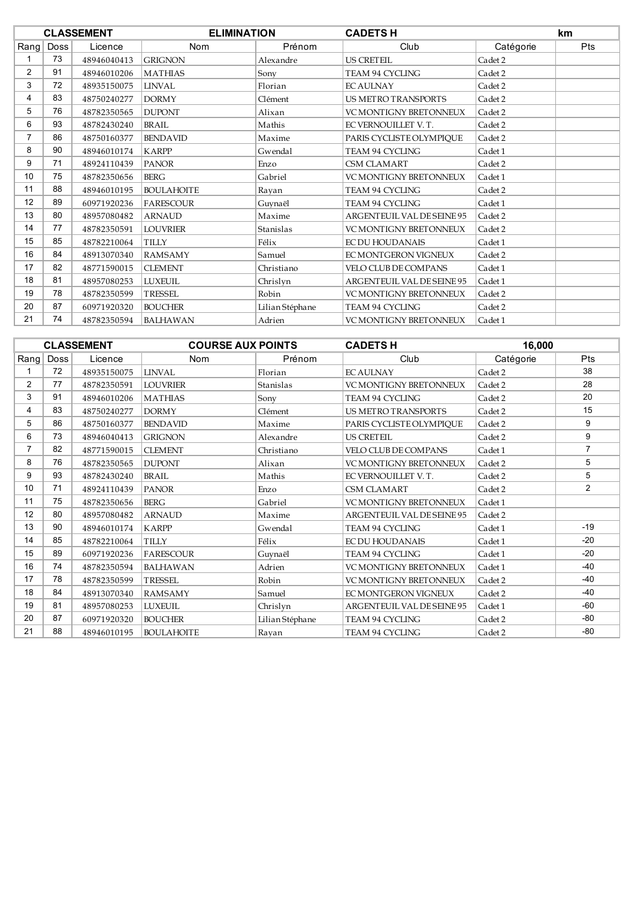|      |             | <b>CLASSEMENT</b> | <b>ELIMINATION</b> |                 | <b>CADETSH</b>                |           | <b>km</b>  |
|------|-------------|-------------------|--------------------|-----------------|-------------------------------|-----------|------------|
| Rang | <b>Doss</b> | Licence           | Nom                | Prénom          | Club                          | Catégorie | <b>Pts</b> |
|      | 73          | 48946040413       | <b>GRIGNON</b>     | Alexandre       | <b>US CRETEIL</b>             | Cadet 2   |            |
| 2    | 91          | 48946010206       | <b>MATHIAS</b>     | Sony            | TEAM 94 CYCLING               | Cadet 2   |            |
| 3    | 72          | 48935150075       | <b>LINVAL</b>      | Florian         | <b>EC AULNAY</b>              | Cadet 2   |            |
| 4    | 83          | 48750240277       | <b>DORMY</b>       | Clément         | <b>US METRO TRANSPORTS</b>    | Cadet 2   |            |
| 5    | 76          | 48782350565       | <b>DUPONT</b>      | Alixan          | <b>VC MONTIGNY BRETONNEUX</b> | Cadet 2   |            |
| 6    | 93          | 48782430240       | BRAIL              | Mathis          | EC VERNOUILLET V.T.           | Cadet 2   |            |
| 7    | 86          | 48750160377       | <b>BENDAVID</b>    | Maxime          | PARIS CYCLISTE OLYMPIQUE      | Cadet 2   |            |
| 8    | 90          | 48946010174       | <b>KARPP</b>       | Gwendal         | <b>TEAM 94 CYCLING</b>        | Cadet 1   |            |
| 9    | 71          | 48924110439       | <b>PANOR</b>       | Enzo            | <b>CSM CLAMART</b>            | Cadet 2   |            |
| 10   | 75          | 48782350656       | <b>BERG</b>        | Gabriel         | <b>VC MONTIGNY BRETONNEUX</b> | Cadet 1   |            |
| 11   | 88          | 48946010195       | <b>BOULAHOITE</b>  | Ravan           | TEAM 94 CYCLING               | Cadet 2   |            |
| 12   | 89          | 60971920236       | <b>FARESCOUR</b>   | Guynaël         | TEAM 94 CYCLING               | Cadet 1   |            |
| 13   | 80          | 48957080482       | <b>ARNAUD</b>      | Maxime          | ARGENTEUIL VAL DE SEINE 95    | Cadet 2   |            |
| 14   | 77          | 48782350591       | <b>LOUVRIER</b>    | Stanislas       | VC MONTIGNY BRETONNEUX        | Cadet 2   |            |
| 15   | 85          | 48782210064       | <b>TILLY</b>       | Félix           | <b>EC DU HOUDANAIS</b>        | Cadet 1   |            |
| 16   | 84          | 48913070340       | <b>RAMSAMY</b>     | Samuel          | EC MONTGERON VIGNEUX          | Cadet 2   |            |
| 17   | 82          | 48771590015       | <b>CLEMENT</b>     | Christiano      | <b>VELO CLUB DE COMPANS</b>   | Cadet 1   |            |
| 18   | 81          | 48957080253       | <b>LUXEUIL</b>     | Chrislyn        | ARGENTEUIL VAL DE SEINE 95    | Cadet 1   |            |
| 19   | 78          | 48782350599       | <b>TRESSEL</b>     | Robin           | <b>VC MONTIGNY BRETONNEUX</b> | Cadet 2   |            |
| 20   | 87          | 60971920320       | <b>BOUCHER</b>     | Lilian Stéphane | <b>TEAM 94 CYCLING</b>        | Cadet 2   |            |
| 21   | 74          | 48782350594       | <b>BALHAWAN</b>    | Adrien          | <b>VC MONTIGNY BRETONNEUX</b> | Cadet 1   |            |

|                |      | <b>CLASSEMENT</b> | <b>COURSE AUX POINTS</b> |                 | <b>CADETSH</b>                | 16,000    |                |
|----------------|------|-------------------|--------------------------|-----------------|-------------------------------|-----------|----------------|
| Rang           | Doss | Licence           | <b>Nom</b>               | Prénom          | Club                          | Catégorie | <b>Pts</b>     |
|                | 72   | 48935150075       | <b>LINVAL</b>            | Florian         | <b>EC AULNAY</b>              | Cadet 2   | 38             |
| $\overline{2}$ | 77   | 48782350591       | <b>LOUVRIER</b>          | Stanislas       | VC MONTIGNY BRETONNEUX        | Cadet 2   | 28             |
| 3              | 91   | 48946010206       | <b>MATHIAS</b>           | Sony            | <b>TEAM 94 CYCLING</b>        | Cadet 2   | 20             |
| 4              | 83   | 48750240277       | <b>DORMY</b>             | Clément         | <b>US METRO TRANSPORTS</b>    | Cadet 2   | 15             |
| 5              | 86   | 48750160377       | <b>BENDAVID</b>          | Maxime          | PARIS CYCLISTE OLYMPIOUE      | Cadet 2   | 9              |
| 6              | 73   | 48946040413       | <b>GRIGNON</b>           | Alexandre       | <b>US CRETEIL</b>             | Cadet 2   | 9              |
|                | 82   | 48771590015       | <b>CLEMENT</b>           | Christiano      | VELO CLUB DE COMPANS          | Cadet 1   | $\overline{7}$ |
| 8              | 76   | 48782350565       | <b>DUPONT</b>            | Alixan          | <b>VC MONTIGNY BRETONNEUX</b> | Cadet 2   | 5              |
| 9              | 93   | 48782430240       | <b>BRAIL</b>             | Mathis          | EC VERNOUILLET V.T.           | Cadet 2   | 5              |
| 10             | 71   | 48924110439       | <b>PANOR</b>             | Enzo            | <b>CSM CLAMART</b>            | Cadet 2   | $\overline{2}$ |
| 11             | 75   | 48782350656       | <b>BERG</b>              | Gabriel         | <b>VC MONTIGNY BRETONNEUX</b> | Cadet 1   |                |
| 12             | 80   | 48957080482       | <b>ARNAUD</b>            | Maxime          | ARGENTEUIL VAL DE SEINE 95    | Cadet 2   |                |
| 13             | 90   | 48946010174       | <b>KARPP</b>             | Gwendal         | <b>TEAM 94 CYCLING</b>        | Cadet 1   | $-19$          |
| 14             | 85   | 48782210064       | <b>TILLY</b>             | Félix           | <b>EC DU HOUDANAIS</b>        | Cadet 1   | $-20$          |
| 15             | 89   | 60971920236       | <b>FARESCOUR</b>         | Guynaël         | TEAM 94 CYCLING               | Cadet 1   | $-20$          |
| 16             | 74   | 48782350594       | <b>BALHAWAN</b>          | Adrien          | <b>VC MONTIGNY BRETONNEUX</b> | Cadet 1   | $-40$          |
| 17             | 78   | 48782350599       | <b>TRESSEL</b>           | Robin           | VC MONTIGNY BRETONNEUX        | Cadet 2   | $-40$          |
| 18             | 84   | 48913070340       | <b>RAMSAMY</b>           | Samuel          | EC MONTGERON VIGNEUX          | Cadet 2   | $-40$          |
| 19             | 81   | 48957080253       | <b>LUXEUIL</b>           | Chrislyn        | ARGENTEUIL VAL DE SEINE 95    | Cadet 1   | $-60$          |
| 20             | 87   | 60971920320       | <b>BOUCHER</b>           | Lilian Stéphane | <b>TEAM 94 CYCLING</b>        | Cadet 2   | -80            |
| 21             | 88   | 48946010195       | <b>BOULAHOITE</b>        | Rayan           | TEAM 94 CYCLING               | Cadet 2   | $-80$          |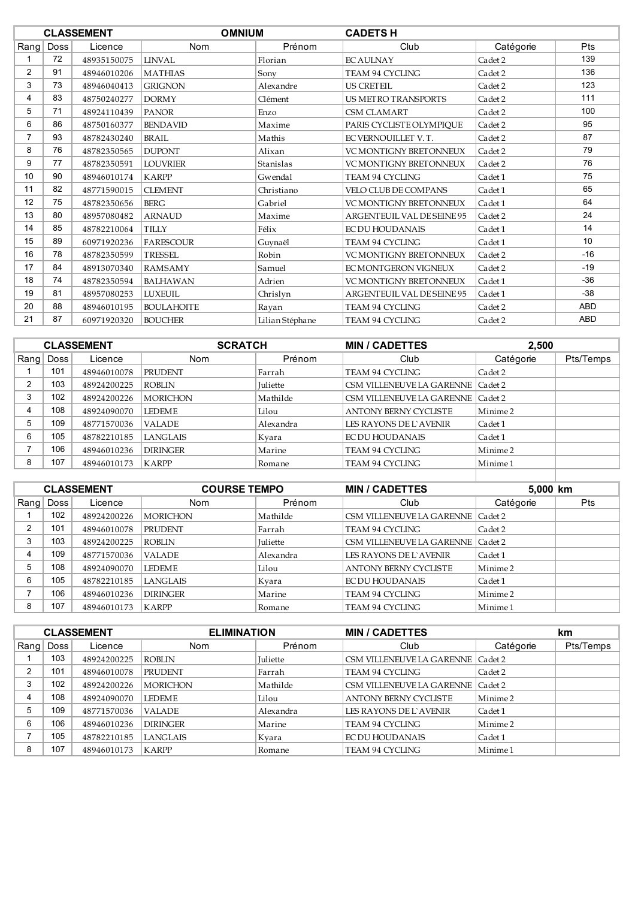|                 |      | <b>CLASSEMENT</b> | <b>OMNIUM</b>     |                 | <b>CADETS H</b>               |           |            |
|-----------------|------|-------------------|-------------------|-----------------|-------------------------------|-----------|------------|
| Rang            | Doss | Licence           | Nom               | Prénom          | Club                          | Catégorie | Pts        |
|                 | 72   | 48935150075       | LINVAL.           | Florian         | <b>EC AULNAY</b>              | Cadet 2   | 139        |
| $\overline{2}$  | 91   | 48946010206       | <b>MATHIAS</b>    | Sony            | TEAM 94 CYCLING               | Cadet 2   | 136        |
| 3               | 73   | 48946040413       | <b>GRIGNON</b>    | Alexandre       | <b>US CRETEIL</b>             | Cadet 2   | 123        |
| 4               | 83   | 48750240277       | <b>DORMY</b>      | Clément         | <b>US METRO TRANSPORTS</b>    | Cadet 2   | 111        |
| 5               | 71   | 48924110439       | <b>PANOR</b>      | Enzo            | <b>CSM CLAMART</b>            | Cadet 2   | 100        |
| 6               | 86   | 48750160377       | <b>BENDAVID</b>   | Maxime          | PARIS CYCLISTE OLYMPIOUE      | Cadet 2   | 95         |
|                 | 93   | 48782430240       | <b>BRAIL</b>      | Mathis          | EC VERNOUILLET V.T.           | Cadet 2   | 87         |
| 8               | 76   | 48782350565       | <b>DUPONT</b>     | Alixan          | <b>VC MONTIGNY BRETONNEUX</b> | Cadet 2   | 79         |
| 9               | 77   | 48782350591       | <b>LOUVRIER</b>   | Stanislas       | <b>VC MONTIGNY BRETONNEUX</b> | Cadet 2   | 76         |
| 10 <sup>°</sup> | 90   | 48946010174       | <b>KARPP</b>      | Gwendal         | <b>TEAM 94 CYCLING</b>        | Cadet 1   | 75         |
| 11              | 82   | 48771590015       | <b>CLEMENT</b>    | Christiano      | VELO CLUB DE COMPANS          | Cadet 1   | 65         |
| 12              | 75   | 48782350656       | <b>BERG</b>       | Gabriel         | <b>VC MONTIGNY BRETONNEUX</b> | Cadet 1   | 64         |
| 13              | 80   | 48957080482       | <b>ARNAUD</b>     | Maxime          | ARGENTEUIL VAL DE SEINE 95    | Cadet 2   | 24         |
| 14              | 85   | 48782210064       | <b>TILLY</b>      | Félix           | <b>EC DU HOUDANAIS</b>        | Cadet 1   | 14         |
| 15              | 89   | 60971920236       | <b>FARESCOUR</b>  | Guynaël         | TEAM 94 CYCLING               | Cadet 1   | 10         |
| 16              | 78   | 48782350599       | <b>TRESSEL</b>    | Robin           | <b>VC MONTIGNY BRETONNEUX</b> | Cadet 2   | $-16$      |
| 17              | 84   | 48913070340       | <b>RAMSAMY</b>    | Samuel          | EC MONTGERON VIGNEUX          | Cadet 2   | $-19$      |
| 18              | 74   | 48782350594       | <b>BALHAWAN</b>   | Adrien          | <b>VC MONTIGNY BRETONNEUX</b> | Cadet 1   | $-36$      |
| 19              | 81   | 48957080253       | <b>LUXEUIL</b>    | Chrislyn        | ARGENTEUIL VAL DE SEINE 95    | Cadet 1   | $-38$      |
| 20              | 88   | 48946010195       | <b>BOULAHOITE</b> | Rayan           | TEAM 94 CYCLING               | Cadet 2   | <b>ABD</b> |
| 21              | 87   | 60971920320       | <b>BOUCHER</b>    | Lilian Stéphane | <b>TEAM 94 CYCLING</b>        | Cadet 2   | <b>ABD</b> |

|      |             | <b>CLASSEMENT</b> | <b>SCRATCH</b>  |                 | <b>MIN / CADETTES</b>               |                     | 2,500     |  |
|------|-------------|-------------------|-----------------|-----------------|-------------------------------------|---------------------|-----------|--|
| Rang | <b>Doss</b> | Licence           | <b>Nom</b>      | Prénom          | Club                                | Catégorie           | Pts/Temps |  |
|      | 101         | 48946010078       | <b>PRUDENT</b>  | Farrah          | <b>TEAM 94 CYCLING</b>              | Cadet 2             |           |  |
| 2    | 103         | 48924200225       | <b>ROBLIN</b>   | <b>Iuliette</b> | CSM VILLENEUVE LA GARENNE   Cadet 2 |                     |           |  |
| 3    | 102         | 48924200226       | <b>MORICHON</b> | Mathilde        | CSM VILLENEUVE LA GARENNE   Cadet 2 |                     |           |  |
| 4    | 108         | 48924090070       | <b>LEDEME</b>   | Lilou           | <b>ANTONY BERNY CYCLISTE</b>        | Minime <sub>2</sub> |           |  |
| 5    | 109         | 48771570036       | <b>VALADE</b>   | Alexandra       | LES RAYONS DE L'AVENIR              | Cadet 1             |           |  |
| 6    | 105         | 48782210185       | <b>LANGLAIS</b> | Kvara           | <b>EC DU HOUDANAIS</b>              | Cadet 1             |           |  |
|      | 106         | 48946010236       | <b>DIRINGER</b> | Marine          | <b>TEAM 94 CYCLING</b>              | Minime <sub>2</sub> |           |  |
| 8    | 107         | 48946010173       | <b>KARPP</b>    | ∣Romane         | <b>TEAM 94 CYCLING</b>              | Minime 1            |           |  |
|      |             |                   |                 |                 |                                     |                     |           |  |
|      |             |                   |                 |                 |                                     |                     |           |  |

|   |           | <b>CLASSEMENT</b> | <b>COURSE TEMPO</b> |           | <b>MIN / CADETTES</b>               | 5,000 km            |     |
|---|-----------|-------------------|---------------------|-----------|-------------------------------------|---------------------|-----|
|   | Rang Doss | Licence           | <b>Nom</b>          | Prénom    | Club                                | Catégorie           | Pts |
|   | 102       | 48924200226       | <b>MORICHON</b>     | Mathilde  | CSM VILLENEUVE LA GARENNE   Cadet 2 |                     |     |
| 2 | 101       | 48946010078       | <b>PRUDENT</b>      | Farrah    | TEAM 94 CYCLING                     | Cadet 2             |     |
| 3 | 103       | 48924200225       | <b>ROBLIN</b>       | Juliette  | CSM VILLENEUVE LA GARENNE   Cadet 2 |                     |     |
| 4 | 109       | 48771570036       | <b>VALADE</b>       | Alexandra | LES RAYONS DE L'AVENIR              | Cadet 1             |     |
| 5 | 108       | 48924090070       | LEDEME              | Lilou     | <b>ANTONY BERNY CYCLISTE</b>        | Minime 2            |     |
| 6 | 105       | 48782210185       | LANGLAIS            | Kvara     | EC DU HOUDANAIS                     | Cadet 1             |     |
|   | 106       | 48946010236       | <b>DIRINGER</b>     | Marine    | TEAM 94 CYCLING                     | Minime <sub>2</sub> |     |
| 8 | 107       | 48946010173       | KARPP               | Romane    | TEAM 94 CYCLING                     | Minime 1            |     |

|   |           | <b>CLASSEMENT</b> | <b>ELIMINATION</b> |                 | <b>MIN / CADETTES</b>               |           | km        |
|---|-----------|-------------------|--------------------|-----------------|-------------------------------------|-----------|-----------|
|   | Rang Doss | Licence           | <b>Nom</b>         | Prénom          | Club                                | Catégorie | Pts/Temps |
|   | 103       | 48924200225       | <b>ROBLIN</b>      | <b>Juliette</b> | CSM VILLENEUVE LA GARENNE   Cadet 2 |           |           |
| ົ | 101       | 48946010078       | <b>PRUDENT</b>     | Farrah          | TEAM 94 CYCLING                     | Cadet 2   |           |
|   | 102       | 48924200226       | <b>MORICHON</b>    | Mathilde        | CSM VILLENEUVE LA GARENNE   Cadet 2 |           |           |
| 4 | 108       | 48924090070       | <b>LEDEME</b>      | Lilou           | <b>ANTONY BERNY CYCLISTE</b>        | Minime 2  |           |
| 5 | 109       | 48771570036       | <b>VALADE</b>      | Alexandra       | LES RAYONS DE L'AVENIR              | Cadet 1   |           |
| 6 | 106       | 48946010236       | <b>DIRINGER</b>    | Marine          | TEAM 94 CYCLING                     | Minime 2  |           |
|   | 105       | 48782210185       | LANGLAIS           | Kvara           | <b>EC DU HOUDANAIS</b>              | Cadet 1   |           |
| 8 | 107       | 48946010173       | <b>KARPP</b>       | Romane          | TEAM 94 CYCLING                     | Minime 1  |           |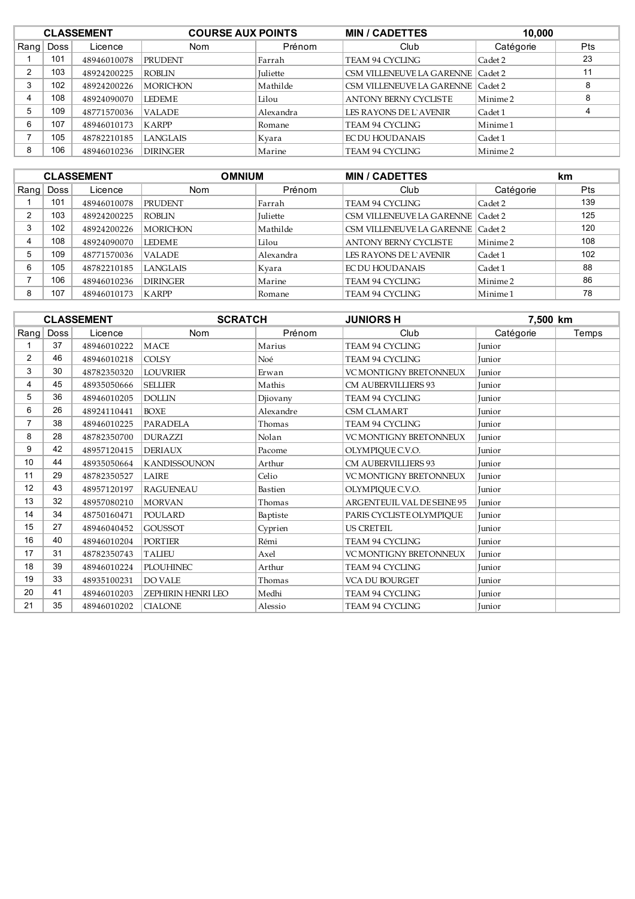|      | <b>CLASSEMENT</b> |             | <b>COURSE AUX POINTS</b> |                 | <b>MIN / CADETTES</b>               | 10,000    |            |
|------|-------------------|-------------|--------------------------|-----------------|-------------------------------------|-----------|------------|
| Rang | Doss              | Licence     | Nom                      | Prénom          | Club                                | Catégorie | <b>Pts</b> |
|      | 101               | 48946010078 | <b>PRUDENT</b>           | Farrah          | TEAM 94 CYCLING                     | Cadet 2   | 23         |
| 2    | 103               | 48924200225 | <b>ROBLIN</b>            | <b>Juliette</b> | CSM VILLENEUVE LA GARENNE   Cadet 2 |           | 11         |
| 3    | 102               | 48924200226 | <b>MORICHON</b>          | Mathilde        | CSM VILLENEUVE LA GARENNE   Cadet 2 |           |            |
| 4    | 108               | 48924090070 | <b>LEDEME</b>            | Lilou           | <b>ANTONY BERNY CYCLISTE</b>        | Minime 2  | 8          |
| 5    | 109               | 48771570036 | <b>VALADE</b>            | Alexandra       | LES RAYONS DE L'AVENIR              | Cadet 1   |            |
| 6    | 107               | 48946010173 | KARPP                    | Romane          | TEAM 94 CYCLING                     | Minime 1  |            |
|      | 105               | 48782210185 | LANGLAIS                 | Kvara           | EC DU HOUDANAIS                     | Cadet 1   |            |
| 8    | 106               | 48946010236 | <b>DIRINGER</b>          | Marine          | TEAM 94 CYCLING                     | Minime 2  |            |

|      | <b>CLASSEMENT</b> |             |                 | <b>OMNIUM</b><br><b>MIN / CADETTES</b> |                                     | km        |            |
|------|-------------------|-------------|-----------------|----------------------------------------|-------------------------------------|-----------|------------|
| Rang | <b>Doss</b>       | Licence     | <b>Nom</b>      | Prénom                                 | Club                                | Catégorie | <b>Pts</b> |
|      | 101               | 48946010078 | PRUDENT         | Farrah                                 | <b>TEAM 94 CYCLING</b>              | Cadet 2   | 139        |
|      | 103               | 48924200225 | <b>ROBLIN</b>   | <b>Juliette</b>                        | CSM VILLENEUVE LA GARENNE   Cadet 2 |           | 125        |
|      | 102               | 48924200226 | <b>MORICHON</b> | Mathilde                               | CSM VILLENEUVE LA GARENNE   Cadet 2 |           | 120        |
|      | 108               | 48924090070 | <b>LEDEME</b>   | Lilou                                  | <b>ANTONY BERNY CYCLISTE</b>        | Minime 2  | 108        |
| 5    | 109               | 48771570036 | <b>VALADE</b>   | Alexandra                              | LES RAYONS DE L'AVENIR              | Cadet 1   | 102        |
| 6    | 105               | 48782210185 | <b>LANGLAIS</b> | Kvara                                  | <b>EC DU HOUDANAIS</b>              | Cadet 1   | 88         |
|      | 106               | 48946010236 | <b>DIRINGER</b> | Marine                                 | <b>TEAM 94 CYCLING</b>              | Minime 2  | 86         |
| 8    | 107               | 48946010173 | <b>KARPP</b>    | Romane                                 | <b>TEAM 94 CYCLING</b>              | Minime 1  | 78         |

|                   |      | <b>CLASSEMENT</b> | <b>SCRATCH</b>      |           | <b>JUNIORS H</b>              |               | 7,500 km |  |
|-------------------|------|-------------------|---------------------|-----------|-------------------------------|---------------|----------|--|
| Rang              | Doss | Licence           | Nom                 | Prénom    | Club                          | Catégorie     | Temps    |  |
|                   | 37   | 48946010222       | <b>MACE</b>         | Marius    | <b>TEAM 94 CYCLING</b>        | <b>Iunior</b> |          |  |
| $\overline{2}$    | 46   | 48946010218       | <b>COLSY</b>        | Noé       | TEAM 94 CYCLING               | Junior        |          |  |
| 3                 | 30   | 48782350320       | <b>LOUVRIER</b>     | Erwan     | <b>VC MONTIGNY BRETONNEUX</b> | <b>Iunior</b> |          |  |
| 4                 | 45   | 48935050666       | <b>SELLIER</b>      | Mathis    | <b>CM AUBERVILLIERS 93</b>    | Junior        |          |  |
| 5                 | 36   | 48946010205       | <b>DOLLIN</b>       | Djiovany  | TEAM 94 CYCLING               | Junior        |          |  |
| 6                 | 26   | 48924110441       | <b>BOXE</b>         | Alexandre | <b>CSM CLAMART</b>            | Junior        |          |  |
|                   | 38   | 48946010225       | <b>PARADELA</b>     | Thomas    | <b>TEAM 94 CYCLING</b>        | Junior        |          |  |
| 8                 | 28   | 48782350700       | <b>DURAZZI</b>      | Nolan     | <b>VC MONTIGNY BRETONNEUX</b> | Junior        |          |  |
| 9                 | 42   | 48957120415       | <b>DERIAUX</b>      | Pacome    | OLYMPIQUE C.V.O.              | Junior        |          |  |
| 10                | 44   | 48935050664       | <b>KANDISSOUNON</b> | Arthur    | <b>CM AUBERVILLIERS 93</b>    | Junior        |          |  |
| 11                | 29   | 48782350527       | <b>LAIRE</b>        | Celio     | <b>VC MONTIGNY BRETONNEUX</b> | Junior        |          |  |
| $12 \overline{ }$ | 43   | 48957120197       | <b>RAGUENEAU</b>    | Bastien   | OLYMPIQUE C.V.O.              | Junior        |          |  |
| 13                | 32   | 48957080210       | <b>MORVAN</b>       | Thomas    | ARGENTEUIL VAL DE SEINE 95    | Junior        |          |  |
| 14                | 34   | 48750160471       | <b>POULARD</b>      | Baptiste  | PARIS CYCLISTE OLYMPIQUE      | Junior        |          |  |
| 15                | 27   | 48946040452       | <b>GOUSSOT</b>      | Cyprien   | <b>US CRETEIL</b>             | Junior        |          |  |
| 16                | 40   | 48946010204       | <b>PORTIER</b>      | Rémi      | <b>TEAM 94 CYCLING</b>        | <b>Iunior</b> |          |  |
| 17                | 31   | 48782350743       | <b>TALIEU</b>       | Axel      | VC MONTIGNY BRETONNEUX        | Junior        |          |  |
| 18                | 39   | 48946010224       | <b>PLOUHINEC</b>    | Arthur    | <b>TEAM 94 CYCLING</b>        | Junior        |          |  |
| 19                | 33   | 48935100231       | <b>DO VALE</b>      | Thomas    | <b>VCA DU BOURGET</b>         | Junior        |          |  |
| 20                | 41   | 48946010203       | ZEPHIRIN HENRI LEO  | Medhi     | TEAM 94 CYCLING               | Junior        |          |  |
| 21                | 35   | 48946010202       | <b>CIALONE</b>      | Alessio   | <b>TEAM 94 CYCLING</b>        | Junior        |          |  |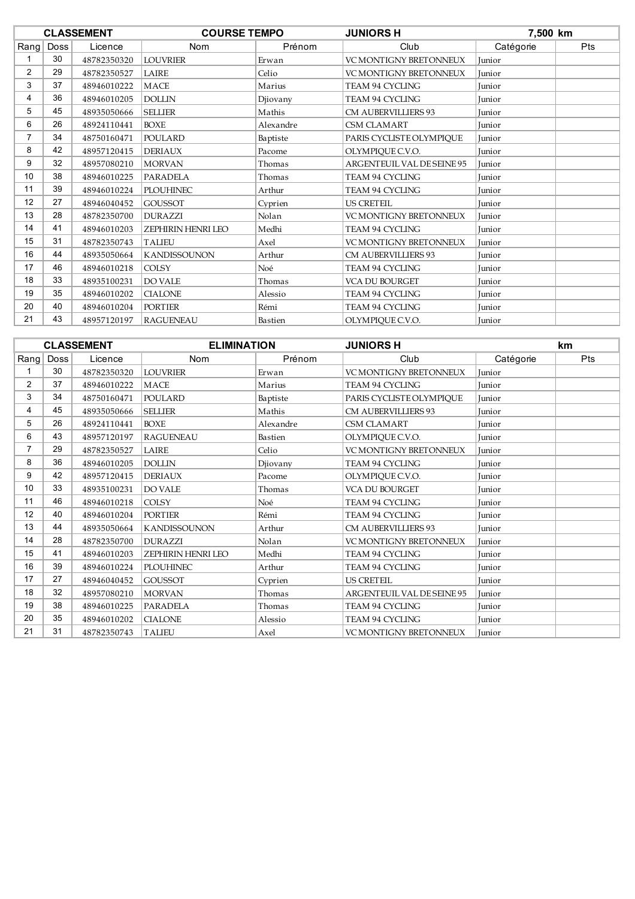|                |      | <b>CLASSEMENT</b> | <b>COURSE TEMPO</b> |           | <b>JUNIORS H</b>                  | 7,500 km      |            |
|----------------|------|-------------------|---------------------|-----------|-----------------------------------|---------------|------------|
| $R$ ang        | Doss | Licence           | Nom                 | Prénom    | Club                              | Catégorie     | <b>Pts</b> |
|                | 30   | 48782350320       | <b>LOUVRIER</b>     | Erwan     | VC MONTIGNY BRETONNEUX            | Junior        |            |
| $\overline{2}$ | 29   | 48782350527       | LAIRE               | Celio     | <b>VC MONTIGNY BRETONNEUX</b>     | Junior        |            |
| 3              | 37   | 48946010222       | <b>MACE</b>         | Marius    | TEAM 94 CYCLING                   | Junior        |            |
| 4              | 36   | 48946010205       | <b>DOLLIN</b>       | Djiovany  | TEAM 94 CYCLING                   | Junior        |            |
| 5              | 45   | 48935050666       | <b>SELLIER</b>      | Mathis    | <b>CM AUBERVILLIERS 93</b>        | Junior        |            |
| 6              | 26   | 48924110441       | <b>BOXE</b>         | Alexandre | <b>CSM CLAMART</b>                | Junior        |            |
| 7              | 34   | 48750160471       | <b>POULARD</b>      | Baptiste  | PARIS CYCLISTE OLYMPIQUE          | Junior        |            |
| 8              | 42   | 48957120415       | <b>DERIAUX</b>      | Pacome    | OLYMPIQUE C.V.O.                  | Junior        |            |
| 9              | 32   | 48957080210       | <b>MORVAN</b>       | Thomas    | <b>ARGENTEUIL VAL DE SEINE 95</b> | Junior        |            |
| 10             | 38   | 48946010225       | <b>PARADELA</b>     | Thomas    | TEAM 94 CYCLING                   | Junior        |            |
| 11             | 39   | 48946010224       | <b>PLOUHINEC</b>    | Arthur    | <b>TEAM 94 CYCLING</b>            | <b>Iunior</b> |            |
| 12             | 27   | 48946040452       | <b>GOUSSOT</b>      | Cyprien   | <b>US CRETEIL</b>                 | Junior        |            |
| 13             | 28   | 48782350700       | <b>DURAZZI</b>      | Nolan     | <b>VC MONTIGNY BRETONNEUX</b>     | <b>Iunior</b> |            |
| 14             | 41   | 48946010203       | ZEPHIRIN HENRI LEO  | Medhi     | TEAM 94 CYCLING                   | Junior        |            |
| 15             | 31   | 48782350743       | <b>TALIEU</b>       | Axel      | <b>VC MONTIGNY BRETONNEUX</b>     | <b>Iunior</b> |            |
| 16             | 44   | 48935050664       | <b>KANDISSOUNON</b> | Arthur    | <b>CM AUBERVILLIERS 93</b>        | Junior        |            |
| 17             | 46   | 48946010218       | <b>COLSY</b>        | Noé       | <b>TEAM 94 CYCLING</b>            | <b>Iunior</b> |            |
| 18             | 33   | 48935100231       | <b>DO VALE</b>      | Thomas    | VCA DU BOURGET                    | Junior        |            |
| 19             | 35   | 48946010202       | <b>CIALONE</b>      | Alessio   | <b>TEAM 94 CYCLING</b>            | <b>Iunior</b> |            |
| 20             | 40   | 48946010204       | <b>PORTIER</b>      | Rémi      | TEAM 94 CYCLING                   | Junior        |            |
| 21             | 43   | 48957120197       | <b>RAGUENEAU</b>    | Bastien   | OLYMPIQUE C.V.O.                  | <b>Iunior</b> |            |

|                |      | <b>CLASSEMENT</b> | <b>ELIMINATION</b>  |           | <b>JUNIORS H</b>              |               | <b>km</b> |
|----------------|------|-------------------|---------------------|-----------|-------------------------------|---------------|-----------|
| Rang           | Doss | Licence           | Nom                 | Prénom    | Club                          | Catégorie     | Pts       |
|                | 30   | 48782350320       | <b>LOUVRIER</b>     | Erwan     | VC MONTIGNY BRETONNEUX        | Junior        |           |
| $\overline{2}$ | 37   | 48946010222       | <b>MACE</b>         | Marius    | TEAM 94 CYCLING               | Junior        |           |
| 3              | 34   | 48750160471       | <b>POULARD</b>      | Baptiste  | PARIS CYCLISTE OLYMPIQUE      | <b>Iunior</b> |           |
| 4              | 45   | 48935050666       | <b>SELLIER</b>      | Mathis    | <b>CM AUBERVILLIERS 93</b>    | Junior        |           |
| 5              | 26   | 48924110441       | <b>BOXE</b>         | Alexandre | <b>CSM CLAMART</b>            | Junior        |           |
| 6              | 43   | 48957120197       | <b>RAGUENEAU</b>    | Bastien   | OLYMPIQUE C.V.O.              | Junior        |           |
|                | 29   | 48782350527       | LAIRE               | Celio     | <b>VC MONTIGNY BRETONNEUX</b> | Junior        |           |
| 8              | 36   | 48946010205       | <b>DOLLIN</b>       | Djiovany  | <b>TEAM 94 CYCLING</b>        | Junior        |           |
| 9              | 42   | 48957120415       | <b>DERIAUX</b>      | Pacome    | OLYMPIQUE C.V.O.              | Junior        |           |
| 10             | 33   | 48935100231       | <b>DO VALE</b>      | Thomas    | <b>VCA DU BOURGET</b>         | Junior        |           |
| 11             | 46   | 48946010218       | <b>COLSY</b>        | Noé       | TEAM 94 CYCLING               | Junior        |           |
| 12             | 40   | 48946010204       | <b>PORTIER</b>      | Rémi      | <b>TEAM 94 CYCLING</b>        | Junior        |           |
| 13             | 44   | 48935050664       | <b>KANDISSOUNON</b> | Arthur    | <b>CM AUBERVILLIERS 93</b>    | Junior        |           |
| 14             | 28   | 48782350700       | <b>DURAZZI</b>      | Nolan     | <b>VC MONTIGNY BRETONNEUX</b> | Junior        |           |
| 15             | 41   | 48946010203       | ZEPHIRIN HENRI LEO  | Medhi     | <b>TEAM 94 CYCLING</b>        | Junior        |           |
| 16             | 39   | 48946010224       | <b>PLOUHINEC</b>    | Arthur    | <b>TEAM 94 CYCLING</b>        | Junior        |           |
| 17             | 27   | 48946040452       | <b>GOUSSOT</b>      | Cyprien   | <b>US CRETEIL</b>             | Junior        |           |
| 18             | 32   | 48957080210       | <b>MORVAN</b>       | Thomas    | ARGENTEUIL VAL DE SEINE 95    | Junior        |           |
| 19             | 38   | 48946010225       | <b>PARADELA</b>     | Thomas    | <b>TEAM 94 CYCLING</b>        | Junior        |           |
| 20             | 35   | 48946010202       | <b>CIALONE</b>      | Alessio   | TEAM 94 CYCLING               | Junior        |           |
| 21             | 31   | 48782350743       | <b>TALIEU</b>       | Axel      | VC MONTIGNY BRETONNEUX        | Junior        |           |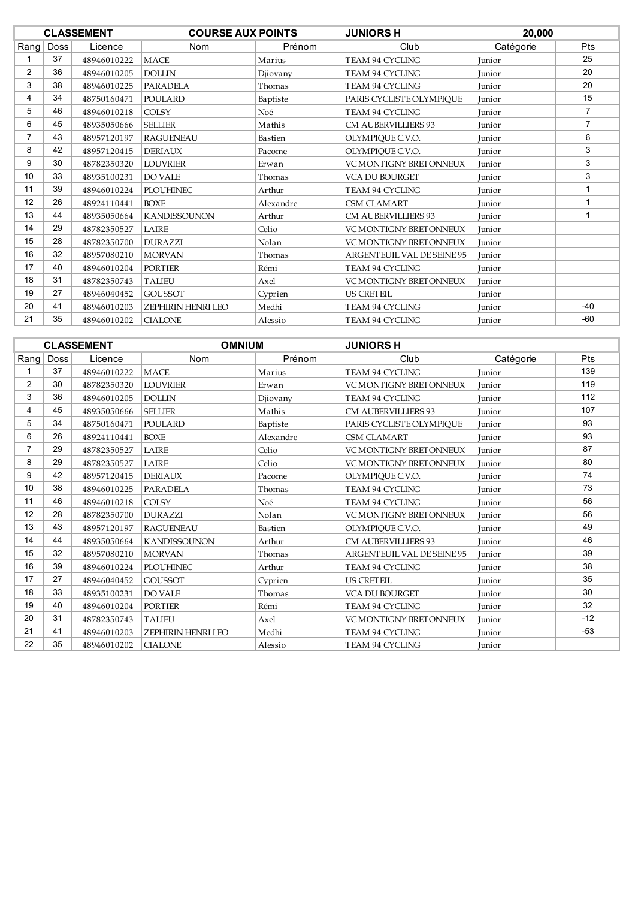| <b>COURSE AUX POINTS</b><br><b>CLASSEMENT</b> |      | <b>JUNIORS H</b> | 20,000                    |           |                               |               |                |
|-----------------------------------------------|------|------------------|---------------------------|-----------|-------------------------------|---------------|----------------|
| Rang                                          | Doss | Licence          | <b>Nom</b>                | Prénom    | Club                          | Catégorie     | Pts            |
|                                               | 37   | 48946010222      | <b>MACE</b>               | Marius    | <b>TEAM 94 CYCLING</b>        | <b>Iunior</b> | 25             |
| $\overline{2}$                                | 36   | 48946010205      | <b>DOLLIN</b>             | Djiovany  | TEAM 94 CYCLING               | <b>Iunior</b> | 20             |
| 3                                             | 38   | 48946010225      | <b>PARADELA</b>           | Thomas    | <b>TEAM 94 CYCLING</b>        | <b>Iunior</b> | 20             |
| 4                                             | 34   | 48750160471      | <b>POULARD</b>            | Baptiste  | PARIS CYCLISTE OLYMPIQUE      | <b>Iunior</b> | 15             |
| 5                                             | 46   | 48946010218      | <b>COLSY</b>              | Noé       | <b>TEAM 94 CYCLING</b>        | Junior        | $\overline{7}$ |
| 6                                             | 45   | 48935050666      | <b>SELLIER</b>            | Mathis    | <b>CM AUBERVILLIERS 93</b>    | <b>Iunior</b> | $\overline{7}$ |
| 7                                             | 43   | 48957120197      | <b>RAGUENEAU</b>          | Bastien   | OLYMPIQUE C.V.O.              | Junior        | 6              |
| 8                                             | 42   | 48957120415      | <b>DERIAUX</b>            | Pacome    | OLYMPIQUE C.V.O.              | Junior        | 3              |
| 9                                             | 30   | 48782350320      | <b>LOUVRIER</b>           | Erwan     | <b>VC MONTIGNY BRETONNEUX</b> | <b>Iunior</b> | 3              |
| 10                                            | 33   | 48935100231      | <b>DO VALE</b>            | Thomas    | <b>VCA DU BOURGET</b>         | Junior        | 3              |
| 11                                            | 39   | 48946010224      | <b>PLOUHINEC</b>          | Arthur    | <b>TEAM 94 CYCLING</b>        | <b>Iunior</b> | 1              |
| 12                                            | 26   | 48924110441      | <b>BOXE</b>               | Alexandre | <b>CSM CLAMART</b>            | Junior        |                |
| 13                                            | 44   | 48935050664      | <b>KANDISSOUNON</b>       | Arthur    | <b>CM AUBERVILLIERS 93</b>    | Junior        |                |
| 14                                            | 29   | 48782350527      | LAIRE                     | Celio     | <b>VC MONTIGNY BRETONNEUX</b> | <b>Iunior</b> |                |
| 15                                            | 28   | 48782350700      | <b>DURAZZI</b>            | Nolan     | <b>VC MONTIGNY BRETONNEUX</b> | Junior        |                |
| 16                                            | 32   | 48957080210      | <b>MORVAN</b>             | Thomas    | ARGENTEUIL VAL DE SEINE 95    | Junior        |                |
| 17                                            | 40   | 48946010204      | <b>PORTIER</b>            | Rémi      | TEAM 94 CYCLING               | Junior        |                |
| 18                                            | 31   | 48782350743      | <b>TALIEU</b>             | Axel      | <b>VC MONTIGNY BRETONNEUX</b> | <b>Iunior</b> |                |
| 19                                            | 27   | 48946040452      | <b>GOUSSOT</b>            | Cyprien   | <b>US CRETEIL</b>             | <b>Iunior</b> |                |
| 20                                            | 41   | 48946010203      | <b>ZEPHIRIN HENRI LEO</b> | Medhi     | TEAM 94 CYCLING               | Junior        | $-40$          |
| 21                                            | 35   | 48946010202      | <b>CIALONE</b>            | Alessio   | <b>TEAM 94 CYCLING</b>        | <b>Iunior</b> | $-60$          |

|                | <b>CLASSEMENT</b> |             |                           | <b>OMNIUM</b> | <b>JUNIORS H</b>              |           |       |
|----------------|-------------------|-------------|---------------------------|---------------|-------------------------------|-----------|-------|
| Rang           | <b>Doss</b>       | Licence     | <b>Nom</b>                | Prénom        | Club                          | Catégorie | Pts   |
|                | 37                | 48946010222 | <b>MACE</b>               | Marius        | <b>TEAM 94 CYCLING</b>        | Junior    | 139   |
| $\overline{2}$ | 30                | 48782350320 | <b>LOUVRIER</b>           | Erwan         | <b>VC MONTIGNY BRETONNEUX</b> | Junior    | 119   |
| 3              | 36                | 48946010205 | <b>DOLLIN</b>             | Djiovany      | <b>TEAM 94 CYCLING</b>        | Junior    | 112   |
| 4              | 45                | 48935050666 | <b>SELLIER</b>            | Mathis        | <b>CM AUBERVILLIERS 93</b>    | Junior    | 107   |
| 5              | 34                | 48750160471 | POULARD                   | Baptiste      | PARIS CYCLISTE OLYMPIQUE      | Junior    | 93    |
| 6              | 26                | 48924110441 | <b>BOXE</b>               | Alexandre     | <b>CSM CLAMART</b>            | Junior    | 93    |
| $\overline{7}$ | 29                | 48782350527 | LAIRE                     | Celio         | <b>VC MONTIGNY BRETONNEUX</b> | Junior    | 87    |
| 8              | 29                | 48782350527 | LAIRE                     | Celio         | <b>VC MONTIGNY BRETONNEUX</b> | Junior    | 80    |
| 9              | 42                | 48957120415 | <b>DERIAUX</b>            | Pacome        | OLYMPIQUE C.V.O.              | Junior    | 74    |
| 10             | 38                | 48946010225 | <b>PARADELA</b>           | Thomas        | TEAM 94 CYCLING               | Junior    | 73    |
| 11             | 46                | 48946010218 | <b>COLSY</b>              | Noé           | <b>TEAM 94 CYCLING</b>        | Junior    | 56    |
| 12             | 28                | 48782350700 | <b>DURAZZI</b>            | Nolan         | <b>VC MONTIGNY BRETONNEUX</b> | Junior    | 56    |
| 13             | 43                | 48957120197 | <b>RAGUENEAU</b>          | Bastien       | OLYMPIOUE C.V.O.              | Junior    | 49    |
| 14             | 44                | 48935050664 | <b>KANDISSOUNON</b>       | Arthur        | <b>CM AUBERVILLIERS 93</b>    | Iunior    | 46    |
| 15             | 32                | 48957080210 | <b>MORVAN</b>             | Thomas        | ARGENTEUIL VAL DE SEINE 95    | Junior    | 39    |
| 16             | 39                | 48946010224 | <b>PLOUHINEC</b>          | Arthur        | TEAM 94 CYCLING               | Junior    | 38    |
| 17             | 27                | 48946040452 | <b>GOUSSOT</b>            | Cyprien       | <b>US CRETEIL</b>             | Junior    | 35    |
| 18             | 33                | 48935100231 | <b>DO VALE</b>            | Thomas        | <b>VCA DU BOURGET</b>         | Junior    | 30    |
| 19             | 40                | 48946010204 | <b>PORTIER</b>            | Rémi          | <b>TEAM 94 CYCLING</b>        | Junior    | 32    |
| 20             | 31                | 48782350743 | <b>TALIEU</b>             | Axel          | VC MONTIGNY BRETONNEUX        | Iunior    | $-12$ |
| 21             | 41                | 48946010203 | <b>ZEPHIRIN HENRI LEO</b> | Medhi         | <b>TEAM 94 CYCLING</b>        | Junior    | $-53$ |
| 22             | 35                | 48946010202 | <b>CIALONE</b>            | Alessio       | <b>TEAM 94 CYCLING</b>        | Junior    |       |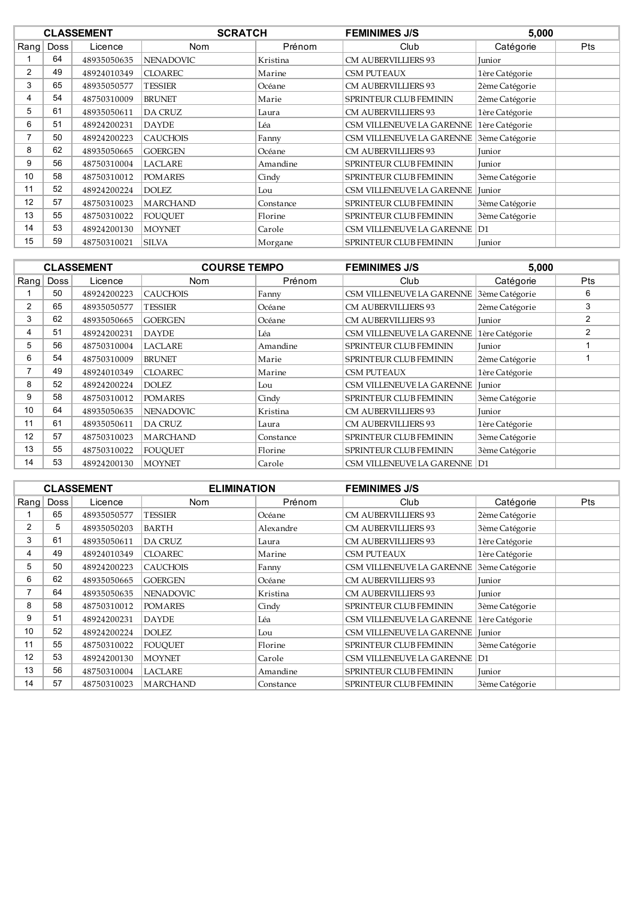|                |             | <b>CLASSEMENT</b> | <b>SCRATCH</b>   |           | <b>FEMINIMES J/S</b>          | 5,000          |            |
|----------------|-------------|-------------------|------------------|-----------|-------------------------------|----------------|------------|
| Rang           | <b>Doss</b> | Licence           | <b>Nom</b>       | Prénom    | Club                          | Catégorie      | <b>Pts</b> |
|                | 64          | 48935050635       | <b>NENADOVIC</b> | Kristina  | <b>CM AUBERVILLIERS 93</b>    | Junior         |            |
| $\overline{2}$ | 49          | 48924010349       | <b>CLOAREC</b>   | Marine    | <b>CSM PUTEAUX</b>            | 1ère Catégorie |            |
| 3              | 65          | 48935050577       | <b>TESSIER</b>   | Océane    | <b>CM AUBERVILLIERS 93</b>    | 2ème Catégorie |            |
| 4              | 54          | 48750310009       | <b>BRUNET</b>    | Marie     | SPRINTEUR CLUB FEMININ        | 2ème Catégorie |            |
| 5              | 61          | 48935050611       | <b>DA CRUZ</b>   | Laura     | <b>CM AUBERVILLIERS 93</b>    | 1ère Catégorie |            |
| 6              | 51          | 48924200231       | <b>DAYDE</b>     | Léa       | CSM VILLENEUVE LA GARENNE     | 1ère Catégorie |            |
|                | 50          | 48924200223       | <b>CAUCHOIS</b>  | Fanny     | CSM VILLENEUVE LA GARENNE     | 3ème Catégorie |            |
| 8              | 62          | 48935050665       | <b>GOERGEN</b>   | Océane    | <b>CM AUBERVILLIERS 93</b>    | Junior         |            |
| 9              | 56          | 48750310004       | LACLARE          | Amandine  | <b>SPRINTEUR CLUB FEMININ</b> | Junior         |            |
| 10             | 58          | 48750310012       | <b>POMARES</b>   | Cindy     | SPRINTEUR CLUB FEMININ        | 3ème Catégorie |            |
| 11             | 52          | 48924200224       | <b>DOLEZ</b>     | Lou       | CSM VILLENEUVE LA GARENNE     | <b>Iunior</b>  |            |
| 12             | 57          | 48750310023       | <b>MARCHAND</b>  | Constance | SPRINTEUR CLUB FEMININ        | 3ème Catégorie |            |
| 13             | 55          | 48750310022       | <b>FOUOUET</b>   | Florine   | <b>SPRINTEUR CLUB FEMININ</b> | 3ème Catégorie |            |
| 14             | 53          | 48924200130       | <b>MOYNET</b>    | Carole    | CSM VILLENEUVE LA GARENNE D1  |                |            |
| 15             | 59          | 48750310021       | <b>SILVA</b>     | Morgane   | <b>SPRINTEUR CLUB FEMININ</b> | Junior         |            |

|                |             | <b>CLASSEMENT</b> | <b>COURSE TEMPO</b> |           | <b>FEMINIMES J/S</b>          | 5,000          |            |  |
|----------------|-------------|-------------------|---------------------|-----------|-------------------------------|----------------|------------|--|
| $R$ ang        | <b>Doss</b> | Licence           | Nom                 | Prénom    | Club                          | Catégorie      | <b>Pts</b> |  |
|                | 50          | 48924200223       | <b>CAUCHOIS</b>     | Fanny     | CSM VILLENEUVE LA GARENNE     | 3ème Catégorie | 6          |  |
| $\overline{2}$ | 65          | 48935050577       | <b>TESSIER</b>      | Océane    | <b>CM AUBERVILLIERS 93</b>    | 2ème Catégorie | 3          |  |
| 3              | 62          | 48935050665       | <b>GOERGEN</b>      | Océane    | <b>CM AUBERVILLIERS 93</b>    | Junior         | 2          |  |
| 4              | 51          | 48924200231       | <b>DAYDE</b>        | Léa       | CSM VILLENEUVE LA GARENNE     | 1ère Catégorie | 2          |  |
| 5              | 56          | 48750310004       | <b>LACLARE</b>      | Amandine  | <b>SPRINTEUR CLUB FEMININ</b> | Junior         |            |  |
| 6              | 54          | 48750310009       | <b>BRUNET</b>       | Marie     | <b>SPRINTEUR CLUB FEMININ</b> | 2ème Catégorie |            |  |
| 7              | 49          | 48924010349       | <b>CLOAREC</b>      | Marine    | <b>CSM PUTEAUX</b>            | 1ère Catégorie |            |  |
| 8              | 52          | 48924200224       | <b>DOLEZ</b>        | Lou       | CSM VILLENEUVE LA GARENNE     | Junior         |            |  |
| 9              | 58          | 48750310012       | <b>POMARES</b>      | Cindy     | <b>SPRINTEUR CLUB FEMININ</b> | 3ème Catégorie |            |  |
| 10             | 64          | 48935050635       | <b>NENADOVIC</b>    | Kristina  | <b>CM AUBERVILLIERS 93</b>    | Junior         |            |  |
| 11             | 61          | 48935050611       | <b>DA CRUZ</b>      | Laura     | <b>CM AUBERVILLIERS 93</b>    | 1ère Catégorie |            |  |
| 12             | 57          | 48750310023       | <b>MARCHAND</b>     | Constance | <b>SPRINTEUR CLUB FEMININ</b> | 3ème Catégorie |            |  |
| 13             | 55          | 48750310022       | <b>FOUOUET</b>      | Florine   | <b>SPRINTEUR CLUB FEMININ</b> | 3ème Catégorie |            |  |
| 14             | 53          | 48924200130       | <b>MOYNET</b>       | Carole    | CSM VILLENEUVE LA GARENNE D1  |                |            |  |

|      |             | <b>CLASSEMENT</b> | <b>ELIMINATION</b> |           | <b>FEMINIMES J/S</b>           |                |     |
|------|-------------|-------------------|--------------------|-----------|--------------------------------|----------------|-----|
| Rang | <b>Doss</b> | Licence           | Nom                | Prénom    | Club                           | Catégorie      | Pts |
|      | 65          | 48935050577       | <b>TESSIER</b>     | Océane    | <b>CM AUBERVILLIERS 93</b>     | 2ème Catégorie |     |
| 2    | 5           | 48935050203       | <b>BARTH</b>       | Alexandre | <b>CM AUBERVILLIERS 93</b>     | 3ème Catégorie |     |
| 3    | 61          | 48935050611       | DA CRUZ            | Laura     | <b>CM AUBERVILLIERS 93</b>     | 1ère Catégorie |     |
| 4    | 49          | 48924010349       | <b>CLOAREC</b>     | Marine    | CSM PUTEAUX                    | 1ère Catégorie |     |
| 5    | 50          | 48924200223       | <b>CAUCHOIS</b>    | Fanny     | CSM VILLENEUVE LA GARENNE      | 3ème Catégorie |     |
| 6    | 62          | 48935050665       | <b>GOERGEN</b>     | Océane    | <b>CM AUBERVILLIERS 93</b>     | <b>Junior</b>  |     |
|      | 64          | 48935050635       | <b>NENADOVIC</b>   | Kristina  | <b>CM AUBERVILLIERS 93</b>     | Junior         |     |
| 8    | 58          | 48750310012       | <b>POMARES</b>     | Cindy     | SPRINTEUR CLUB FEMININ         | 3ème Catégorie |     |
| 9    | 51          | 48924200231       | <b>DAYDE</b>       | Léa       | CSM VILLENEUVE LA GARENNE      | 1ère Catégorie |     |
| 10   | 52          | 48924200224       | DOLEZ              | Lou       | CSM VILLENEUVE LA GARENNE      | Junior         |     |
| 11   | 55          | 48750310022       | <b>FOUQUET</b>     | Florine   | SPRINTEUR CLUB FEMININ         | 3ème Catégorie |     |
| 12   | 53          | 48924200130       | <b>MOYNET</b>      | Carole    | CSM VILLENEUVE LA GARENNE   D1 |                |     |
| 13   | 56          | 48750310004       | LACLARE            | Amandine  | SPRINTEUR CLUB FEMININ         | Junior         |     |
| 14   | 57          | 48750310023       | <b>MARCHAND</b>    | Constance | SPRINTEUR CLUB FEMININ         | 3ème Catégorie |     |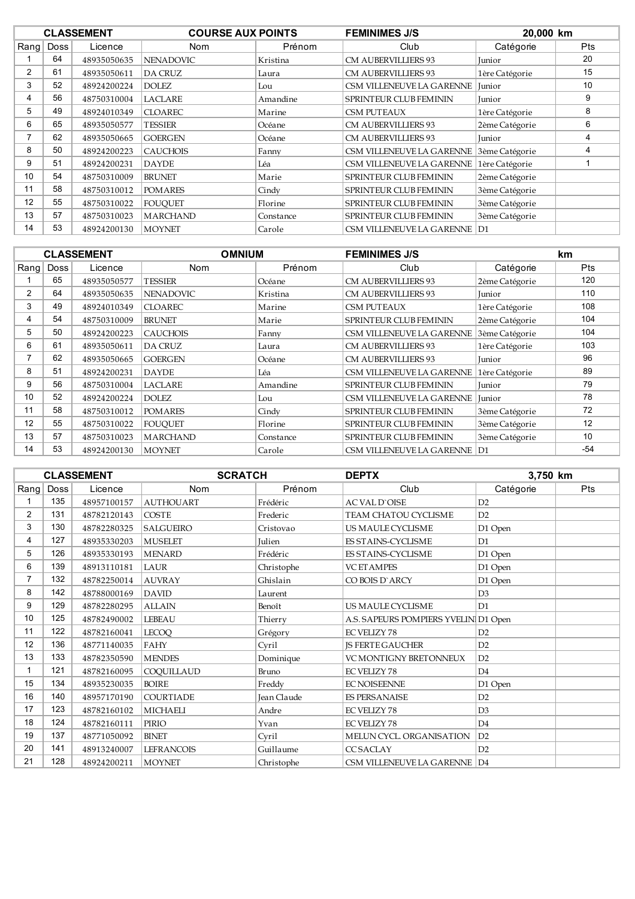|                |      | <b>CLASSEMENT</b> | <b>COURSE AUX POINTS</b> |           | <b>FEMINIMES J/S</b>             |                | 20,000 km  |  |
|----------------|------|-------------------|--------------------------|-----------|----------------------------------|----------------|------------|--|
| Rang           | Doss | Licence           | <b>Nom</b>               | Prénom    | Club                             | Catégorie      | <b>Pts</b> |  |
|                | 64   | 48935050635       | <b>NENADOVIC</b>         | Kristina  | <b>CM AUBERVILLIERS 93</b>       | <b>Iunior</b>  | 20         |  |
| $\overline{2}$ | 61   | 48935050611       | <b>DA CRUZ</b>           | Laura     | <b>CM AUBERVILLIERS 93</b>       | 1ère Catégorie | 15         |  |
| 3              | 52   | 48924200224       | DOLEZ.                   | Lou       | <b>CSM VILLENEUVE LA GARENNE</b> | <b>Iunior</b>  | 10         |  |
| 4              | 56   | 48750310004       | <b>LACLARE</b>           | Amandine  | SPRINTEUR CLUB FEMININ           | Junior         | 9          |  |
| 5              | 49   | 48924010349       | <b>CLOAREC</b>           | Marine    | <b>CSM PUTEAUX</b>               | 1ère Catégorie | 8          |  |
| 6              | 65   | 48935050577       | <b>TESSIER</b>           | Océane    | <b>CM AUBERVILLIERS 93</b>       | 2ème Catégorie | 6          |  |
|                | 62   | 48935050665       | <b>GOERGEN</b>           | Océane    | <b>CM AUBERVILLIERS 93</b>       | <b>Iunior</b>  | 4          |  |
| 8              | 50   | 48924200223       | <b>CAUCHOIS</b>          | Fanny     | CSM VILLENEUVE LA GARENNE        | 3ème Catégorie | 4          |  |
| 9              | 51   | 48924200231       | <b>DAYDE</b>             | Léa       | CSM VILLENEUVE LA GARENNE        | 1ère Catégorie |            |  |
| 10             | 54   | 48750310009       | <b>BRUNET</b>            | Marie     | SPRINTEUR CLUB FEMININ           | 2ème Catégorie |            |  |
| 11             | 58   | 48750310012       | <b>POMARES</b>           | Cindy     | <b>SPRINTEUR CLUB FEMININ</b>    | 3ème Catégorie |            |  |
| 12             | 55   | 48750310022       | <b>FOUOUET</b>           | Florine   | <b>SPRINTEUR CLUB FEMININ</b>    | 3ème Catégorie |            |  |
| 13             | 57   | 48750310023       | <b>MARCHAND</b>          | Constance | <b>SPRINTEUR CLUB FEMININ</b>    | 3ème Catégorie |            |  |
| 14             | 53   | 48924200130       | <b>MOYNET</b>            | Carole    | CSM VILLENEUVE LA GARENNE   D1   |                |            |  |

|                |             | <b>CLASSEMENT</b> | <b>OMNIUM</b>    |           | <b>FEMINIMES J/S</b>             |                | km         |
|----------------|-------------|-------------------|------------------|-----------|----------------------------------|----------------|------------|
| Rang           | <b>Doss</b> | Licence           | Nom              | Prénom    | Club                             | Catégorie      | <b>Pts</b> |
|                | 65          | 48935050577       | <b>TESSIER</b>   | Océane    | <b>CM AUBERVILLIERS 93</b>       | 2ème Catégorie | 120        |
| $\overline{2}$ | 64          | 48935050635       | <b>NENADOVIC</b> | Kristina  | <b>CM AUBERVILLIERS 93</b>       | <b>Iunior</b>  | 110        |
| 3              | 49          | 48924010349       | <b>CLOAREC</b>   | Marine    | <b>CSM PUTEAUX</b>               | 1ère Catégorie | 108        |
| 4              | 54          | 48750310009       | <b>BRUNET</b>    | Marie     | <b>SPRINTEUR CLUB FEMININ</b>    | 2ème Catégorie | 104        |
| 5              | 50          | 48924200223       | <b>CAUCHOIS</b>  | Fanny     | CSM VILLENEUVE LA GARENNE        | 3ème Catégorie | 104        |
| 6              | 61          | 48935050611       | <b>DA CRUZ</b>   | Laura     | <b>CM AUBERVILLIERS 93</b>       | 1ère Catégorie | 103        |
| 7              | 62          | 48935050665       | <b>GOERGEN</b>   | Océane    | <b>CM AUBERVILLIERS 93</b>       | Junior         | 96         |
| 8              | 51          | 48924200231       | <b>DAYDE</b>     | Léa       | CSM VILLENEUVE LA GARENNE        | 1ère Catégorie | 89         |
| 9              | 56          | 48750310004       | <b>LACLARE</b>   | Amandine  | <b>SPRINTEUR CLUB FEMININ</b>    | Junior         | 79         |
| 10             | 52          | 48924200224       | <b>DOLEZ</b>     | Lou       | <b>CSM VILLENEUVE LA GARENNE</b> | <b>Iunior</b>  | 78         |
| 11             | 58          | 48750310012       | <b>POMARES</b>   | Cindy     | <b>SPRINTEUR CLUB FEMININ</b>    | 3ème Catégorie | 72         |
| 12             | 55          | 48750310022       | <b>FOUOUET</b>   | Florine   | <b>SPRINTEUR CLUB FEMININ</b>    | 3ème Catégorie | 12         |
| 13             | 57          | 48750310023       | <b>MARCHAND</b>  | Constance | <b>SPRINTEUR CLUB FEMININ</b>    | 3ème Catégorie | 10         |
| 14             | 53          | 48924200130       | <b>MOYNET</b>    | Carole    | CSM VILLENEUVE LA GARENNE   D1   |                | -54        |

|                |      | <b>CLASSEMENT</b> | <b>SCRATCH</b>    |                    | <b>DEPTX</b>                         | 3,750 km       |     |
|----------------|------|-------------------|-------------------|--------------------|--------------------------------------|----------------|-----|
| Rang           | Doss | Licence           | <b>Nom</b>        | Prénom             | Club                                 | Catégorie      | Pts |
|                | 135  | 48957100157       | <b>AUTHOUART</b>  | Frédéric           | <b>ACVALD'OISE</b>                   | D2             |     |
| $\overline{2}$ | 131  | 48782120143       | <b>COSTE</b>      | Frederic           | TEAM CHATOU CYCLISME                 | D2             |     |
| 3              | 130  | 48782280325       | <b>SALGUEIRO</b>  | Cristovao          | US MAULE CYCLISME                    | D1 Open        |     |
| 4              | 127  | 48935330203       | <b>MUSELET</b>    | <b>Iulien</b>      | <b>ES STAINS-CYCLISME</b>            | D1             |     |
| 5              | 126  | 48935330193       | <b>MENARD</b>     | Frédéric           | <b>ES STAINS-CYCLISME</b>            | D1 Open        |     |
| 6              | 139  | 48913110181       | LAUR              | Christophe         | <b>VC ET AMPES</b>                   | D1 Open        |     |
| 7              | 132  | 48782250014       | <b>AUVRAY</b>     | Ghislain           | CO BOIS D'ARCY                       | D1 Open        |     |
| 8              | 142  | 48788000169       | <b>DAVID</b>      | Laurent            |                                      | D <sub>3</sub> |     |
| 9              | 129  | 48782280295       | <b>ALLAIN</b>     | Benoît             | US MAULE CYCLISME                    | D1             |     |
| 10             | 125  | 48782490002       | <b>LEBEAU</b>     | Thierry            | A.S. SAPEURS POMPIERS YVELIN D1 Open |                |     |
| 11             | 122  | 48782160041       | <b>LECOQ</b>      | Grégory            | <b>EC VELIZY 78</b>                  | D2             |     |
| 12             | 136  | 48771140035       | <b>FAHY</b>       | Cyril              | <b>IS FERTE GAUCHER</b>              | D2             |     |
| 13             | 133  | 48782350590       | <b>MENDES</b>     | Dominique          | VC MONTIGNY BRETONNEUX               | D2             |     |
| 1              | 121  | 48782160095       | COOUILLAUD        | Bruno              | <b>EC VELIZY 78</b>                  | D <sub>4</sub> |     |
| 15             | 134  | 48935230035       | <b>BOIRE</b>      | Freddy             | <b>EC NOISEENNE</b>                  | D1 Open        |     |
| 16             | 140  | 48957170190       | <b>COURTIADE</b>  | <b>Jean Claude</b> | <b>ES PERSANAISE</b>                 | D2             |     |
| 17             | 123  | 48782160102       | <b>MICHAELI</b>   | Andre              | <b>EC VELIZY 78</b>                  | D <sub>3</sub> |     |
| 18             | 124  | 48782160111       | PIRIO             | Yvan               | <b>EC VELIZY 78</b>                  | D <sub>4</sub> |     |
| 19             | 137  | 48771050092       | <b>BINET</b>      | Cyril              | MELUN CYCL. ORGANISATION             | D2             |     |
| 20             | 141  | 48913240007       | <b>LEFRANCOIS</b> | Guillaume          | <b>CCSACLAY</b>                      | D2             |     |
| 21             | 128  | 48924200211       | <b>MOYNET</b>     | Christophe         | CSM VILLENEUVE LA GARENNE D4         |                |     |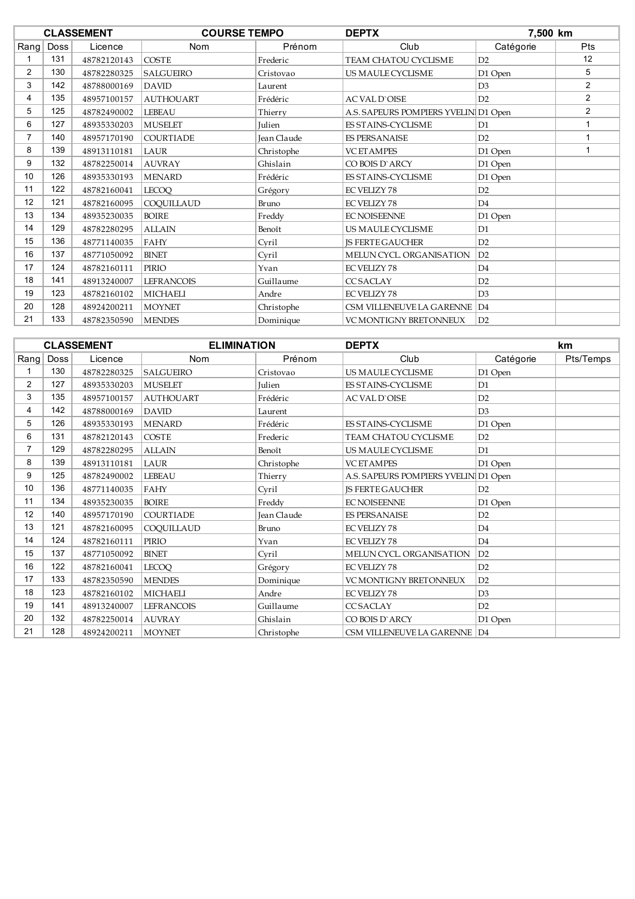|      |      | <b>CLASSEMENT</b> | <b>COURSE TEMPO</b> |               | <b>DEPTX</b>                         | 7,500 km       |                |
|------|------|-------------------|---------------------|---------------|--------------------------------------|----------------|----------------|
| Rang | Doss | Licence           | Nom                 | Prénom        | Club                                 | Catégorie      | Pts            |
|      | 131  | 48782120143       | <b>COSTE</b>        | Frederic      | TEAM CHATOU CYCLISME                 | D2             | 12             |
| 2    | 130  | 48782280325       | SALGUEIRO           | Cristovao     | US MAULE CYCLISME                    | D1 Open        | 5              |
| 3    | 142  | 48788000169       | <b>DAVID</b>        | Laurent       |                                      | D <sub>3</sub> | $\overline{2}$ |
| 4    | 135  | 48957100157       | <b>AUTHOUART</b>    | Frédéric      | <b>AC VAL D'OISE</b>                 | D2             | $\overline{2}$ |
| 5    | 125  | 48782490002       | <b>LEBEAU</b>       | Thierry       | A.S. SAPEURS POMPIERS YVELIN D1 Open |                | $\overline{2}$ |
| 6    | 127  | 48935330203       | <b>MUSELET</b>      | <b>Iulien</b> | <b>ES STAINS-CYCLISME</b>            | D1             |                |
| 7    | 140  | 48957170190       | <b>COURTIADE</b>    | Jean Claude   | <b>ES PERSANAISE</b>                 | D2             | 1              |
| 8    | 139  | 48913110181       | LAUR                | Christophe    | <b>VC ET AMPES</b>                   | D1 Open        | 1              |
| 9    | 132  | 48782250014       | <b>AUVRAY</b>       | Ghislain      | CO BOIS D'ARCY                       | D1 Open        |                |
| 10   | 126  | 48935330193       | <b>MENARD</b>       | Frédéric      | <b>ES STAINS-CYCLISME</b>            | D1 Open        |                |
| 11   | 122  | 48782160041       | <b>LECOO</b>        | Grégory       | <b>EC VELIZY 78</b>                  | D2             |                |
| 12   | 121  | 48782160095       | COQUILLAUD          | Bruno         | <b>EC VELIZY 78</b>                  | D <sub>4</sub> |                |
| 13   | 134  | 48935230035       | <b>BOIRE</b>        | Freddy        | <b>EC NOISEENNE</b>                  | D1 Open        |                |
| 14   | 129  | 48782280295       | <b>ALLAIN</b>       | Benoît        | US MAULE CYCLISME                    | D <sub>1</sub> |                |
| 15   | 136  | 48771140035       | FAHY                | Cvril         | <b>IS FERTE GAUCHER</b>              | D2             |                |
| 16   | 137  | 48771050092       | <b>BINET</b>        | Cvril         | MELUN CYCL. ORGANISATION             | D2             |                |
| 17   | 124  | 48782160111       | PIRIO               | Yvan          | <b>EC VELIZY 78</b>                  | D <sub>4</sub> |                |
| 18   | 141  | 48913240007       | <b>LEFRANCOIS</b>   | Guillaume     | <b>CCSACLAY</b>                      | D2             |                |
| 19   | 123  | 48782160102       | <b>MICHAELI</b>     | Andre         | <b>EC VELIZY 78</b>                  | D3             |                |
| 20   | 128  | 48924200211       | <b>MOYNET</b>       | Christophe    | CSM VILLENEUVE LA GARENNE D4         |                |                |
| 21   | 133  | 48782350590       | <b>MENDES</b>       | Dominique     | <b>VC MONTIGNY BRETONNEUX</b>        | D2             |                |

|                |      | <b>CLASSEMENT</b> | <b>ELIMINATION</b> |             | <b>DEPTX</b>                         |                | <b>km</b> |
|----------------|------|-------------------|--------------------|-------------|--------------------------------------|----------------|-----------|
| Rang           | Doss | Licence           | Nom                | Prénom      | Club                                 | Catégorie      | Pts/Temps |
|                | 130  | 48782280325       | <b>SALGUEIRO</b>   | Cristovao   | US MAULE CYCLISME                    | D1 Open        |           |
| $\overline{2}$ | 127  | 48935330203       | <b>MUSELET</b>     | Julien      | ES STAINS-CYCLISME                   | D <sub>1</sub> |           |
| 3              | 135  | 48957100157       | <b>AUTHOUART</b>   | Frédéric    | <b>AC VAL D'OISE</b>                 | D2             |           |
| 4              | 142  | 48788000169       | <b>DAVID</b>       | Laurent     |                                      | D3             |           |
| 5              | 126  | 48935330193       | <b>MENARD</b>      | Frédéric    | ES STAINS-CYCLISME                   | D1 Open        |           |
| 6              | 131  | 48782120143       | <b>COSTE</b>       | Frederic    | <b>TEAM CHATOU CYCLISME</b>          | D2             |           |
|                | 129  | 48782280295       | <b>ALLAIN</b>      | Benoît      | US MAULE CYCLISME                    | D <sub>1</sub> |           |
| 8              | 139  | 48913110181       | LAUR               | Christophe  | <b>VC ET AMPES</b>                   | D1 Open        |           |
| 9              | 125  | 48782490002       | <b>LEBEAU</b>      | Thierry     | A.S. SAPEURS POMPIERS YVELIN D1 Open |                |           |
| 10             | 136  | 48771140035       | <b>FAHY</b>        | Cvril       | <b>JS FERTE GAUCHER</b>              | D2             |           |
| 11             | 134  | 48935230035       | <b>BOIRE</b>       | Freddy      | <b>EC NOISEENNE</b>                  | D1 Open        |           |
| 12             | 140  | 48957170190       | <b>COURTIADE</b>   | Jean Claude | <b>ES PERSANAISE</b>                 | D2             |           |
| 13             | 121  | 48782160095       | COQUILLAUD         | Bruno       | <b>EC VELIZY 78</b>                  | D <sub>4</sub> |           |
| 14             | 124  | 48782160111       | <b>PIRIO</b>       | Yvan        | <b>EC VELIZY 78</b>                  | D <sub>4</sub> |           |
| 15             | 137  | 48771050092       | <b>BINET</b>       | Cyril       | MELUN CYCL. ORGANISATION             | D2             |           |
| 16             | 122  | 48782160041       | <b>LECOO</b>       | Grégory     | <b>EC VELIZY 78</b>                  | D2             |           |
| 17             | 133  | 48782350590       | <b>MENDES</b>      | Dominique   | VC MONTIGNY BRETONNEUX               | D2             |           |
| 18             | 123  | 48782160102       | <b>MICHAELI</b>    | Andre       | <b>EC VELIZY 78</b>                  | D3             |           |
| 19             | 141  | 48913240007       | <b>LEFRANCOIS</b>  | Guillaume   | CC SACLAY                            | D2             |           |
| 20             | 132  | 48782250014       | <b>AUVRAY</b>      | Ghislain    | CO BOIS D'ARCY                       | D1 Open        |           |
| 21             | 128  | 48924200211       | MOYNET             | Christophe  | CSM VILLENEUVE LA GARENNE D4         |                |           |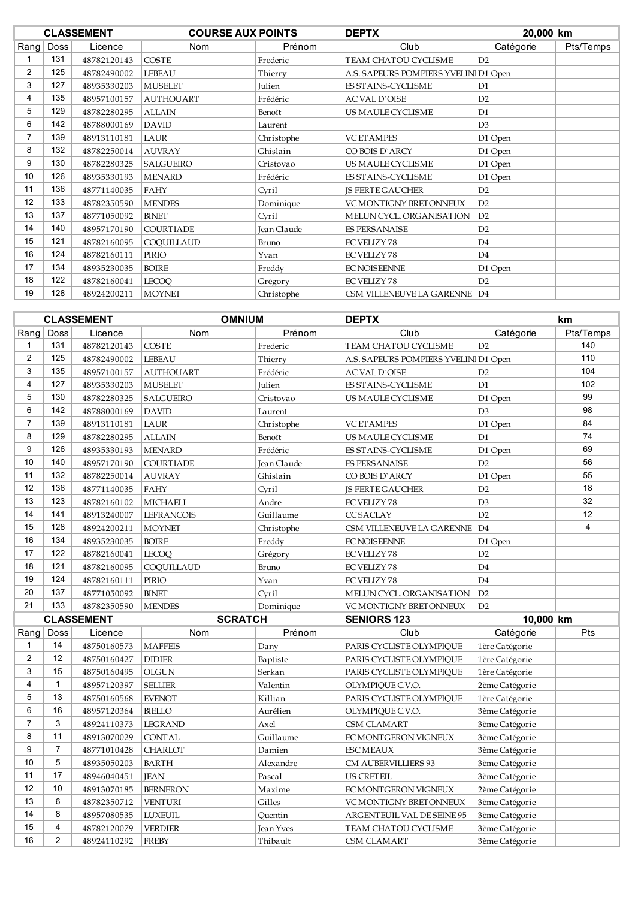|                |             | <b>CLASSEMENT</b> | <b>COURSE AUX POINTS</b> |             | <b>DEPTX</b>                         | 20,000 km      |           |
|----------------|-------------|-------------------|--------------------------|-------------|--------------------------------------|----------------|-----------|
| $R$ ang        | <b>Doss</b> | Licence           | Nom                      | Prénom      | Club                                 | Catégorie      | Pts/Temps |
|                | 131         | 48782120143       | <b>COSTE</b>             | Frederic    | TEAM CHATOU CYCLISME                 | D2             |           |
| $\overline{2}$ | 125         | 48782490002       | <b>LEBEAU</b>            | Thierry     | A.S. SAPEURS POMPIERS YVELIN D1 Open |                |           |
| 3              | 127         | 48935330203       | <b>MUSELET</b>           | Julien      | ES STAINS-CYCLISME                   | D <sub>1</sub> |           |
| 4              | 135         | 48957100157       | <b>AUTHOUART</b>         | Frédéric    | <b>AC VAL D'OISE</b>                 | D2             |           |
| 5              | 129         | 48782280295       | <b>ALLAIN</b>            | Benoît      | US MAULE CYCLISME                    | D1             |           |
| 6              | 142         | 48788000169       | <b>DAVID</b>             | Laurent     |                                      | D3             |           |
| $\overline{7}$ | 139         | 48913110181       | LAUR                     | Christophe  | <b>VC ET AMPES</b>                   | D1 Open        |           |
| 8              | 132         | 48782250014       | <b>AUVRAY</b>            | Ghislain    | CO BOIS D'ARCY                       | D1 Open        |           |
| 9              | 130         | 48782280325       | SALGUEIRO                | Cristovao   | US MAULE CYCLISME                    | D1 Open        |           |
| 10             | 126         | 48935330193       | <b>MENARD</b>            | Frédéric    | ES STAINS-CYCLISME                   | D1 Open        |           |
| 11             | 136         | 48771140035       | <b>FAHY</b>              | Cyril       | <b>JS FERTE GAUCHER</b>              | D2             |           |
| 12             | 133         | 48782350590       | <b>MENDES</b>            | Dominique   | <b>VC MONTIGNY BRETONNEUX</b>        | D2             |           |
| 13             | 137         | 48771050092       | <b>BINET</b>             | Cyril       | MELUN CYCL. ORGANISATION             | D2             |           |
| 14             | 140         | 48957170190       | <b>COURTIADE</b>         | Jean Claude | <b>ES PERSANAISE</b>                 | D2             |           |
| 15             | 121         | 48782160095       | COOUILLAUD               | Bruno       | <b>EC VELIZY 78</b>                  | D <sub>4</sub> |           |
| 16             | 124         | 48782160111       | PIRIO                    | Yvan        | <b>EC VELIZY 78</b>                  | D <sub>4</sub> |           |
| 17             | 134         | 48935230035       | <b>BOIRE</b>             | Freddy      | <b>EC NOISEENNE</b>                  | D1 Open        |           |
| 18             | 122         | 48782160041       | <b>LECOQ</b>             | Grégory     | <b>EC VELIZY 78</b>                  | D2             |           |
| 19             | 128         | 48924200211       | MOYNET                   | Christophe  | CSM VILLENEUVE LA GARENNE D4         |                |           |

|                |                         | <b>CLASSEMENT</b> | <b>OMNIUM</b>     |                  | <b>DEPTX</b>                         |                | km             |
|----------------|-------------------------|-------------------|-------------------|------------------|--------------------------------------|----------------|----------------|
| Rang           | <b>Doss</b>             | Licence           | Nom               | Prénom           | Club                                 | Catégorie      | Pts/Temps      |
| 1              | 131                     | 48782120143       | <b>COSTE</b>      | Frederic         | TEAM CHATOU CYCLISME                 | D2             | 140            |
| $\mathbf{2}$   | 125                     | 48782490002       | <b>LEBEAU</b>     | Thierry          | A.S. SAPEURS POMPIERS YVELIN D1 Open |                | 110            |
| 3              | 135                     | 48957100157       | <b>AUTHOUART</b>  | Frédéric         | <b>AC VAL D'OISE</b>                 | D2             | 104            |
| 4              | 127                     | 48935330203       | <b>MUSELET</b>    | Julien           | ES STAINS-CYCLISME                   | D1             | 102            |
| 5              | 130                     | 48782280325       | <b>SALGUEIRO</b>  | Cristovao        | US MAULE CYCLISME                    | D1 Open        | 99             |
| 6              | 142                     | 48788000169       | <b>DAVID</b>      | Laurent          |                                      | D3             | 98             |
| $\overline{7}$ | 139                     | 48913110181       | LAUR              | Christophe       | <b>VC ET AMPES</b>                   | D1 Open        | 84             |
| 8              | 129                     | 48782280295       | <b>ALLAIN</b>     | Benoît           | US MAULE CYCLISME                    | D1             | 74             |
| 9              | 126                     | 48935330193       | <b>MENARD</b>     | Frédéric         | ES STAINS-CYCLISME                   | D1 Open        | 69             |
| 10             | 140                     | 48957170190       | <b>COURTIADE</b>  | Jean Claude      | <b>ES PERSANAISE</b>                 | D2             | 56             |
| 11             | 132                     | 48782250014       | <b>AUVRAY</b>     | Ghislain         | CO BOIS D'ARCY                       | D1 Open        | 55             |
| 12             | 136                     | 48771140035       | <b>FAHY</b>       | Cyril            | <b>IS FERTE GAUCHER</b>              | D2             | 18             |
| 13             | 123                     | 48782160102       | <b>MICHAELI</b>   | Andre            | EC VELIZY 78                         | D3             | 32             |
| 14             | 141                     | 48913240007       | <b>LEFRANCOIS</b> | Guillaume        | <b>CCSACLAY</b>                      | D2             | 12             |
| 15             | 128                     | 48924200211       | <b>MOYNET</b>     | Christophe       | CSM VILLENEUVE LA GARENNE            | D4             | $\overline{4}$ |
| 16             | 134                     | 48935230035       | <b>BOIRE</b>      | Freddy           | <b>EC NOISEENNE</b>                  | D1 Open        |                |
| 17             | 122                     | 48782160041       | <b>LECOO</b>      | Grégory          | <b>EC VELIZY 78</b>                  | D2             |                |
| 18             | 121                     | 48782160095       | COQUILLAUD        | Bruno            | EC VELIZY 78                         | D <sub>4</sub> |                |
| 19             | 124                     | 48782160111       | PIRIO             | Yvan             | <b>EC VELIZY 78</b>                  | D <sub>4</sub> |                |
| 20             | 137                     | 48771050092       | <b>BINET</b>      | Cvril            | MELUN CYCL. ORGANISATION             | D2             |                |
| 21             | 133                     | 48782350590       | <b>MENDES</b>     | Dominique        | VC MONTIGNY BRETONNEUX               | D2             |                |
|                |                         | <b>CLASSEMENT</b> | <b>SCRATCH</b>    |                  | <b>SENIORS 123</b>                   | 10,000 km      |                |
| Rang           | Doss                    | Licence           | Nom               | Prénom           | Club                                 | Catégorie      | Pts            |
| 1              | 14                      | 48750160573       | <b>MAFFEIS</b>    | Dany             | PARIS CYCLISTE OLYMPIQUE             | 1ère Catégorie |                |
| $\overline{2}$ | 12                      | 48750160427       | <b>DIDIER</b>     | Baptiste         | PARIS CYCLISTE OLYMPIQUE             | 1ère Catégorie |                |
| 3              | 15                      | 48750160495       | <b>OLGUN</b>      | Serkan           | PARIS CYCLISTE OLYMPIQUE             | 1ère Catégorie |                |
| 4              | $\mathbf{1}$            | 48957120397       | <b>SELLIER</b>    | Valentin         | OLYMPIQUE C.V.O.                     | 2ème Catégorie |                |
| 5              | 13                      | 48750160568       | <b>EVENOT</b>     | Killian          | PARIS CYCLISTE OLYMPIQUE             | 1ère Catégorie |                |
| 6              | 16                      | 48957120364       | <b>BIELLO</b>     | Aurélien         | OLYMPIQUE C.V.O.                     | 3ème Catégorie |                |
| $\overline{7}$ | 3                       | 48924110373       | <b>LEGRAND</b>    | Axel             | CSM CLAMART                          | 3ème Catégorie |                |
| 8              | 11                      | 48913070029       | <b>CONTAL</b>     | Guillaume        | EC MONTGERON VIGNEUX                 | 3ème Catégorie |                |
| 9              | $\overline{7}$          | 48771010428       | <b>CHARLOT</b>    | Damien           | <b>ESC MEAUX</b>                     | 3ème Catégorie |                |
| 10             | 5                       | 48935050203       | <b>BARTH</b>      | Alexandre        | CM AUBERVILLIERS 93                  | 3ème Catégorie |                |
| 11             | 17                      | 48946040451       | <b>IEAN</b>       | Pascal           | US CRETEIL                           | 3ème Catégorie |                |
| 12             | 10                      | 48913070185       | <b>BERNERON</b>   | Maxime           | EC MONTGERON VIGNEUX                 | 2ème Catégorie |                |
| 13             | 6                       | 48782350712       | <b>VENTURI</b>    | Gilles           | VC MONTIGNY BRETONNEUX               | 3ème Catégorie |                |
| 14             | 8                       | 48957080535       | <b>LUXEUIL</b>    | Ouentin          | ARGENTEUIL VAL DE SEINE 95           | 3ème Catégorie |                |
| 15             | $\overline{\mathbf{4}}$ | 48782120079       | <b>VERDIER</b>    | <b>Jean Yves</b> | TEAM CHATOU CYCLISME                 | 3ème Catégorie |                |
| 16             | $\overline{2}$          | 48924110292       | <b>FREBY</b>      | Thibault         | CSM CLAMART                          | 3ème Catégorie |                |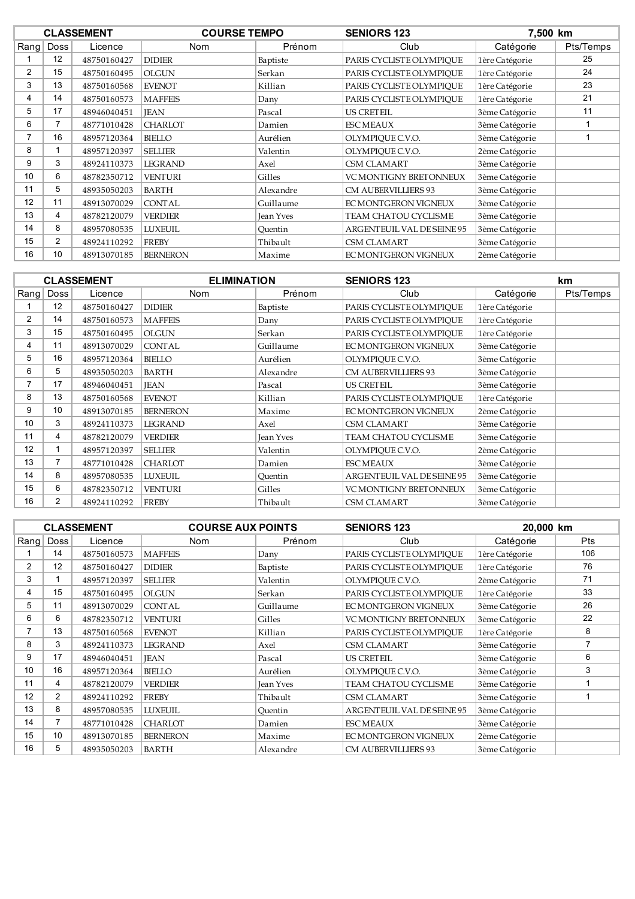|    |             | <b>CLASSEMENT</b> | <b>COURSE TEMPO</b> |                  | <b>SENIORS 123</b>            | 7,500 km       |           |
|----|-------------|-------------------|---------------------|------------------|-------------------------------|----------------|-----------|
|    | Rang   Doss | Licence           | <b>Nom</b>          | Prénom           | Club                          | Catégorie      | Pts/Temps |
|    | 12          | 48750160427       | <b>DIDIER</b>       | Baptiste         | PARIS CYCLISTE OLYMPIQUE      | 1ère Catégorie | 25        |
| 2  | 15          | 48750160495       | <b>OLGUN</b>        | Serkan           | PARIS CYCLISTE OLYMPIOUE      | 1ère Catégorie | 24        |
| 3  | 13          | 48750160568       | <b>EVENOT</b>       | Killian          | PARIS CYCLISTE OLYMPIOUE      | 1ère Catégorie | 23        |
| 4  | 14          | 48750160573       | <b>MAFFEIS</b>      | Dany             | PARIS CYCLISTE OLYMPIQUE      | 1ère Catégorie | 21        |
| 5  | 17          | 48946040451       | <b>IEAN</b>         | Pascal           | <b>US CRETEIL</b>             | 3ème Catégorie | 11        |
| 6  |             | 48771010428       | <b>CHARLOT</b>      | Damien           | <b>ESCMEAUX</b>               | 3ème Catégorie |           |
|    | 16          | 48957120364       | <b>BIELLO</b>       | Aurélien         | OLYMPIOUE C.V.O.              | 3ème Catégorie |           |
| 8  |             | 48957120397       | <b>SELLIER</b>      | Valentin         | OLYMPIQUE C.V.O.              | 2ème Catégorie |           |
| 9  | 3           | 48924110373       | <b>LEGRAND</b>      | Axel             | <b>CSM CLAMART</b>            | 3ème Catégorie |           |
| 10 | 6           | 48782350712       | <b>VENTURI</b>      | Gilles           | <b>VC MONTIGNY BRETONNEUX</b> | 3ème Catégorie |           |
| 11 | 5           | 48935050203       | <b>BARTH</b>        | Alexandre        | <b>CM AUBERVILLIERS 93</b>    | 3ème Catégorie |           |
| 12 | 11          | 48913070029       | <b>CONTAL</b>       | Guillaume        | EC MONTGERON VIGNEUX          | 3ème Catégorie |           |
| 13 | 4           | 48782120079       | <b>VERDIER</b>      | <b>Jean Yves</b> | TEAM CHATOU CYCLISME          | 3ème Catégorie |           |
| 14 | 8           | 48957080535       | <b>LUXEUIL</b>      | Quentin          | ARGENTEUIL VAL DE SEINE 95    | 3ème Catégorie |           |
| 15 | 2           | 48924110292       | <b>FREBY</b>        | Thibault         | <b>CSM CLAMART</b>            | 3ème Catégorie |           |
| 16 | 10          | 48913070185       | <b>BERNERON</b>     | Maxime           | EC MONTGERON VIGNEUX          | 2ème Catégorie |           |
|    |             |                   |                     |                  |                               |                |           |

|                |             | <b>CLASSEMENT</b> | <b>ELIMINATION</b> |           | <b>SENIORS 123</b>         |                | <b>km</b> |
|----------------|-------------|-------------------|--------------------|-----------|----------------------------|----------------|-----------|
| $R$ ang        | <b>Doss</b> | Licence           | <b>Nom</b>         | Prénom    | Club                       | Catégorie      | Pts/Temps |
|                | 12          | 48750160427       | <b>DIDIER</b>      | Baptiste  | PARIS CYCLISTE OLYMPIQUE   | 1ère Catégorie |           |
| $\overline{2}$ | 14          | 48750160573       | <b>MAFFEIS</b>     | Dany      | PARIS CYCLISTE OLYMPIQUE   | 1ère Catégorie |           |
| 3              | 15          | 48750160495       | <b>OLGUN</b>       | Serkan    | PARIS CYCLISTE OLYMPIQUE   | 1ère Catégorie |           |
| 4              | 11          | 48913070029       | <b>CONTAL</b>      | Guillaume | EC MONTGERON VIGNEUX       | 3ème Catégorie |           |
| 5              | 16          | 48957120364       | BIELLO             | Aurélien  | OLYMPIOUE C.V.O.           | 3ème Catégorie |           |
| 6              | 5           | 48935050203       | <b>BARTH</b>       | Alexandre | <b>CM AUBERVILLIERS 93</b> | 3ème Catégorie |           |
| 7              | 17          | 48946040451       | <b>IEAN</b>        | Pascal    | <b>US CRETEIL</b>          | 3ème Catégorie |           |
| 8              | 13          | 48750160568       | <b>EVENOT</b>      | Killian   | PARIS CYCLISTE OLYMPIOUE   | 1ère Catégorie |           |
| 9              | 10          | 48913070185       | <b>BERNERON</b>    | Maxime    | EC MONTGERON VIGNEUX       | 2ème Catégorie |           |
| 10             | 3           | 48924110373       | <b>LEGRAND</b>     | Axel      | <b>CSM CLAMART</b>         | 3ème Catégorie |           |
| 11             | 4           | 48782120079       | <b>VERDIER</b>     | Jean Yves | TEAM CHATOU CYCLISME       | 3ème Catégorie |           |
| 12             | 1           | 48957120397       | <b>SELLIER</b>     | Valentin  | OLYMPIOUE C.V.O.           | 2ème Catégorie |           |
| 13             | 7           | 48771010428       | <b>CHARLOT</b>     | Damien    | <b>ESCMEAUX</b>            | 3ème Catégorie |           |
| 14             | 8           | 48957080535       | <b>LUXEUIL</b>     | Quentin   | ARGENTEUIL VAL DE SEINE 95 | 3ème Catégorie |           |
| 15             | 6           | 48782350712       | <b>VENTURI</b>     | Gilles    | VC MONTIGNY BRETONNEUX     | 3ème Catégorie |           |
| 16             | 2           | 48924110292       | <b>FREBY</b>       | Thibault  | <b>CSM CLAMART</b>         | 3ème Catégorie |           |

|                |                | <b>CLASSEMENT</b> | <b>COURSE AUX POINTS</b> |                  | <b>SENIORS 123</b>            | 20,000 km      |            |
|----------------|----------------|-------------------|--------------------------|------------------|-------------------------------|----------------|------------|
| $R$ ang        | Doss           | Licence           | <b>Nom</b>               | Prénom           | Club                          | Catégorie      | <b>Pts</b> |
|                | 14             | 48750160573       | <b>MAFFEIS</b>           | Dany             | PARIS CYCLISTE OLYMPIOUE      | 1ère Catégorie | 106        |
| $\overline{2}$ | 12             | 48750160427       | <b>DIDIER</b>            | Baptiste         | PARIS CYCLISTE OLYMPIOUE      | 1ère Catégorie | 76         |
| 3              |                | 48957120397       | <b>SELLIER</b>           | Valentin         | OLYMPIOUE C.V.O.              | 2ème Catégorie | 71         |
| 4              | 15             | 48750160495       | <b>OLGUN</b>             | Serkan           | PARIS CYCLISTE OLYMPIOUE      | 1ère Catégorie | 33         |
| 5              | 11             | 48913070029       | <b>CONTAL</b>            | Guillaume        | EC MONTGERON VIGNEUX          | 3ème Catégorie | 26         |
| 6              | 6              | 48782350712       | <b>VENTURI</b>           | Gilles           | <b>VC MONTIGNY BRETONNEUX</b> | 3ème Catégorie | 22         |
| $\overline{7}$ | 13             | 48750160568       | <b>EVENOT</b>            | Killian          | PARIS CYCLISTE OLYMPIOUE      | 1ère Catégorie | 8          |
| 8              | 3              | 48924110373       | <b>LEGRAND</b>           | Axel             | <b>CSM CLAMART</b>            | 3ème Catégorie |            |
| 9              | 17             | 48946040451       | <b>IEAN</b>              | Pascal           | <b>US CRETEIL</b>             | 3ème Catégorie | 6          |
| 10             | 16             | 48957120364       | <b>BIELLO</b>            | Aurélien         | OLYMPIOUE C.V.O.              | 3ème Catégorie | 3          |
| 11             | 4              | 48782120079       | <b>VERDIER</b>           | <b>Jean Yves</b> | TEAM CHATOU CYCLISME          | 3ème Catégorie |            |
| 12             | $\overline{2}$ | 48924110292       | <b>FREBY</b>             | Thibault         | <b>CSM CLAMART</b>            | 3ème Catégorie |            |
| 13             | 8              | 48957080535       | <b>LUXEUIL</b>           | Ouentin          | ARGENTEUIL VAL DE SEINE 95    | 3ème Catégorie |            |
| 14             | $\overline{7}$ | 48771010428       | <b>CHARLOT</b>           | Damien           | <b>ESC MEAUX</b>              | 3ème Catégorie |            |
| 15             | 10             | 48913070185       | <b>BERNERON</b>          | Maxime           | EC MONTGERON VIGNEUX          | 2ème Catégorie |            |
| 16             | 5              | 48935050203       | BARTH                    | Alexandre        | <b>CM AUBERVILLIERS 93</b>    | 3ème Catégorie |            |